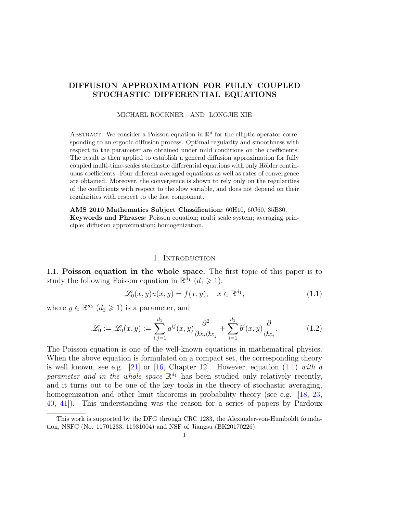# DIFFUSION APPROXIMATION FOR FULLY COUPLED STOCHASTIC DIFFERENTIAL EQUATIONS

#### MICHAEL RÖCKNER AND LONGJIE XIE

ABSTRACT. We consider a Poisson equation in  $\mathbb{R}^d$  for the elliptic operator corresponding to an ergodic diffusion process. Optimal regularity and smoothness with respect to the parameter are obtained under mild conditions on the coefficients. The result is then applied to establish a general diffusion approximation for fully coupled multi-time-scales stochastic differential equations with only Hölder continuous coefficients. Four different averaged equations as well as rates of convergence are obtained. Moreover, the convergence is shown to rely only on the regularities of the coefficients with respect to the slow variable, and does not depend on their regularities with respect to the fast component.

AMS 2010 Mathematics Subject Classification: 60H10, 60J60, 35B30. Keywords and Phrases: Poisson equation; multi scale system; averaging principle; diffusion approximation; homogenization.

# <span id="page-0-1"></span><span id="page-0-0"></span>1. INTRODUCTION

1.1. Poisson equation in the whole space. The first topic of this paper is to study the following Poisson equation in  $\mathbb{R}^{\bar{d}_1}$   $(d_1 \geq 1)$ :

$$
\mathcal{L}_0(x, y)u(x, y) = f(x, y), \quad x \in \mathbb{R}^{d_1}, \tag{1.1}
$$

where  $y \in \mathbb{R}^{d_2}$   $(d_2 \geqslant 1)$  is a parameter, and

$$
\mathcal{L}_0 := \mathcal{L}_0(x, y) := \sum_{i,j=1}^{d_1} a^{ij}(x, y) \frac{\partial^2}{\partial x_i \partial x_j} + \sum_{i=1}^{d_1} b^i(x, y) \frac{\partial}{\partial x_i}.
$$
 (1.2)

The Poisson equation is one of the well-known equations in mathematical physics. When the above equation is formulated on a compact set, the corresponding theory is well known, see e.g. [\[21\]](#page-35-0) or  $[16,$  Chapter 12]. However, equation  $(1.1)$  with a parameter and in the whole space  $\mathbb{R}^{d_1}$  has been studied only relatively recently, and it turns out to be one of the key tools in the theory of stochastic averaging, homogenization and other limit theorems in probability theory (see e.g. [\[18,](#page-35-2) [23,](#page-36-0) [40,](#page-36-1) [41\]](#page-36-2)). This understanding was the reason for a series of papers by Pardoux

This work is supported by the DFG through CRC 1283, the Alexander-von-Humboldt foundation, NSFC (No. 11701233, 11931004) and NSF of Jiangsu (BK20170226).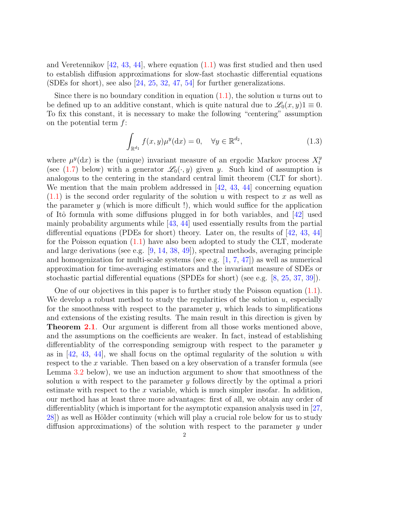and Veretennikov  $[42, 43, 44]$  $[42, 43, 44]$  $[42, 43, 44]$  $[42, 43, 44]$  $[42, 43, 44]$ , where equation  $(1.1)$  was first studied and then used to establish diffusion approximations for slow-fast stochastic differential equations (SDEs for short), see also [\[24,](#page-36-6) [25,](#page-36-7) [32,](#page-36-8) [47,](#page-37-0) [54\]](#page-37-1) for further generalizations.

Since there is no boundary condition in equation  $(1.1)$ , the solution u turns out to be defined up to an additive constant, which is quite natural due to  $\mathscr{L}_0(x, y)1 \equiv 0$ . To fix this constant, it is necessary to make the following "centering" assumption on the potential term f:

<span id="page-1-0"></span>
$$
\int_{\mathbb{R}^{d_1}} f(x, y) \mu^y(\mathrm{d}x) = 0, \quad \forall y \in \mathbb{R}^{d_2},\tag{1.3}
$$

where  $\mu^{y}(dx)$  is the (unique) invariant measure of an ergodic Markov process  $X_t^y$ t (see [\(1.7\)](#page-3-0) below) with a generator  $\mathcal{L}_0(\cdot, y)$  given y. Such kind of assumption is analogous to the centering in the standard central limit theorem (CLT for short). We mention that the main problem addressed in  $[42, 43, 44]$  $[42, 43, 44]$  $[42, 43, 44]$  $[42, 43, 44]$  $[42, 43, 44]$  concerning equation  $(1.1)$  is the second order regularity of the solution u with respect to x as well as the parameter  $y$  (which is more difficult !), which would suffice for the application of Itô formula with some diffusions plugged in for both variables, and  $[42]$  used mainly probability arguments while [\[43,](#page-36-4) [44\]](#page-36-5) used essentially results from the partial differential equations (PDEs for short) theory. Later on, the results of [\[42,](#page-36-3) [43,](#page-36-4) [44\]](#page-36-5) for the Poisson equation [\(1.1\)](#page-0-0) have also been adopted to study the CLT, moderate and large derivations (see e.g. [\[9,](#page-35-3) [14,](#page-35-4) [38,](#page-36-9) [49\]](#page-37-2)), spectral methods, averaging principle and homogenization for multi-scale systems (see e.g.  $[1, 7, 47]$  $[1, 7, 47]$  $[1, 7, 47]$  $[1, 7, 47]$  $[1, 7, 47]$ ) as well as numerical approximation for time-averaging estimators and the invariant measure of SDEs or stochastic partial differential equations (SPDEs for short) (see e.g. [\[8,](#page-35-7) [25,](#page-36-7) [37,](#page-36-10) [39\]](#page-36-11)).

One of our objectives in this paper is to further study the Poisson equation [\(1.1\)](#page-0-0). We develop a robust method to study the regularities of the solution  $u$ , especially for the smoothness with respect to the parameter  $y$ , which leads to simplifications and extensions of the existing results. The main result in this direction is given by Theorem [2.1](#page-6-0). Our argument is different from all those works mentioned above, and the assumptions on the coefficients are weaker. In fact, instead of establishing differentiablity of the corresponding semigroup with respect to the parameter y as in  $[42, 43, 44]$  $[42, 43, 44]$  $[42, 43, 44]$  $[42, 43, 44]$  $[42, 43, 44]$ , we shall focus on the optimal regularity of the solution u with respect to the x variable. Then based on a key observation of a transfer formula (see Lemma [3.2](#page-12-0) below), we use an induction argument to show that smoothness of the solution  $u$  with respect to the parameter  $y$  follows directly by the optimal a priori estimate with respect to the  $x$  variable, which is much simpler insofar. In addition, our method has at least three more advantages: first of all, we obtain any order of differentiablity (which is important for the asymptotic expansion analysis used in [\[27,](#page-36-12) 28) as well as Hölder continuity (which will play a crucial role below for us to study diffusion approximations) of the solution with respect to the parameter y under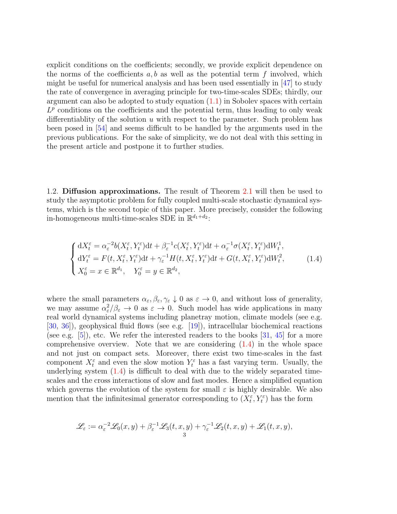explicit conditions on the coefficients; secondly, we provide explicit dependence on the norms of the coefficients  $a, b$  as well as the potential term f involved, which might be useful for numerical analysis and has been used essentially in [\[47\]](#page-37-0) to study the rate of convergence in averaging principle for two-time-scales SDEs; thirdly, our argument can also be adopted to study equation  $(1.1)$  in Sobolev spaces with certain  $L^p$  conditions on the coefficients and the potential term, thus leading to only weak differentiablity of the solution  $u$  with respect to the parameter. Such problem has been posed in [\[54\]](#page-37-1) and seems difficult to be handled by the arguments used in the previous publications. For the sake of simplicity, we do not deal with this setting in the present article and postpone it to further studies.

1.2. Diffusion approximations. The result of Theorem [2.1](#page-6-0) will then be used to study the asymptotic problem for fully coupled multi-scale stochastic dynamical systems, which is the second topic of this paper. More precisely, consider the following in-homogeneous multi-time-scales SDE in  $\mathbb{R}^{d_1+d_2}$ :

<span id="page-2-0"></span>
$$
\begin{cases} dX_t^{\varepsilon} = \alpha_{\varepsilon}^{-2} b(X_t^{\varepsilon}, Y_t^{\varepsilon}) dt + \beta_{\varepsilon}^{-1} c(X_t^{\varepsilon}, Y_t^{\varepsilon}) dt + \alpha_{\varepsilon}^{-1} \sigma(X_t^{\varepsilon}, Y_t^{\varepsilon}) dW_t^1, \\ dY_t^{\varepsilon} = F(t, X_t^{\varepsilon}, Y_t^{\varepsilon}) dt + \gamma_{\varepsilon}^{-1} H(t, X_t^{\varepsilon}, Y_t^{\varepsilon}) dt + G(t, X_t^{\varepsilon}, Y_t^{\varepsilon}) dW_t^2, \\ X_0^{\varepsilon} = x \in \mathbb{R}^{d_1}, \quad Y_0^{\varepsilon} = y \in \mathbb{R}^{d_2}, \end{cases} \tag{1.4}
$$

where the small parameters  $\alpha_{\varepsilon}, \beta_{\varepsilon}, \gamma_{\varepsilon} \downarrow 0$  as  $\varepsilon \to 0$ , and without loss of generality, we may assume  $\alpha_{\varepsilon}^2/\beta_{\varepsilon} \to 0$  as  $\varepsilon \to 0$ . Such model has wide applications in many real world dynamical systems including planetray motion, climate models (see e.g. [\[30,](#page-36-14) [36\]](#page-36-15)), geophysical fluid flows (see e.g. [\[19\]](#page-35-8)), intracellular biochemical reactions (see e.g.  $[5]$ ), etc. We refer the interested readers to the books  $[31, 45]$  $[31, 45]$  $[31, 45]$  for a more comprehensive overview. Note that we are considering [\(1.4\)](#page-2-0) in the whole space and not just on compact sets. Moreover, there exist two time-scales in the fast component  $X_t^{\varepsilon}$  and even the slow motion  $Y_t^{\varepsilon}$  has a fast varying term. Usually, the underlying system  $(1.4)$  is difficult to deal with due to the widely separated timescales and the cross interactions of slow and fast modes. Hence a simplified equation which governs the evolution of the system for small  $\varepsilon$  is highly desirable. We also mention that the infinitesimal generator corresponding to  $(X_t^{\varepsilon}, Y_t^{\varepsilon})$  has the form

$$
\mathscr{L}_{\varepsilon} := \alpha_{\varepsilon}^{-2} \mathscr{L}_0(x, y) + \beta_{\varepsilon}^{-1} \mathscr{L}_3(t, x, y) + \gamma_{\varepsilon}^{-1} \mathscr{L}_2(t, x, y) + \mathscr{L}_1(t, x, y),
$$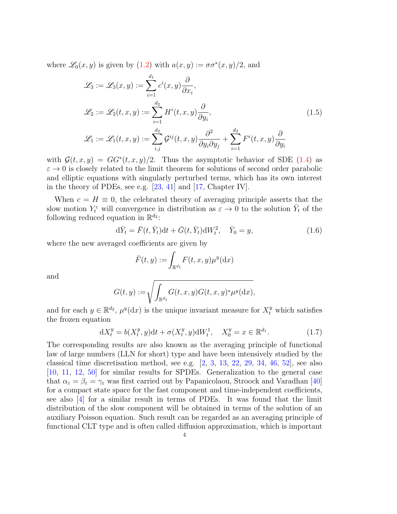where  $\mathscr{L}_0(x, y)$  is given by  $(1.2)$  with  $a(x, y) := \sigma \sigma^*(x, y)/2$ , and

<span id="page-3-2"></span>
$$
\mathcal{L}_3 := \mathcal{L}_3(x, y) := \sum_{i=1}^{d_1} c^i(x, y) \frac{\partial}{\partial x_i},
$$
  
\n
$$
\mathcal{L}_2 := \mathcal{L}_2(t, x, y) := \sum_{i=1}^{d_2} H^i(t, x, y) \frac{\partial}{\partial y_i},
$$
  
\n
$$
\mathcal{L}_1 := \mathcal{L}_1(t, x, y) := \sum_{i,j}^{d_2} \mathcal{G}^{ij}(t, x, y) \frac{\partial^2}{\partial y_i \partial y_j} + \sum_{i=1}^{d_2} F^i(t, x, y) \frac{\partial}{\partial y_i}
$$
\n(1.5)

with  $\mathcal{G}(t,x,y) = GG^*(t,x,y)/2$ . Thus the asymptotic behavior of SDE [\(1.4\)](#page-2-0) as  $\varepsilon \to 0$  is closely related to the limit theorem for solutions of second order parabolic and elliptic equations with singularly perturbed terms, which has its own interest in the theory of PDEs, see e.g. [\[23,](#page-36-0) [41\]](#page-36-2) and [\[17,](#page-35-10) Chapter IV].

When  $c = H \equiv 0$ , the celebrated theory of averaging principle asserts that the slow motion  $Y_t^{\varepsilon}$  will convergence in distribution as  $\varepsilon \to 0$  to the solution  $\bar{Y}_t$  of the following reduced equation in  $\mathbb{R}^{d_2}$ :

$$
\mathrm{d}\bar{Y}_t = \bar{F}(t, \bar{Y}_t) \mathrm{d}t + \bar{G}(t, \bar{Y}_t) \mathrm{d}W_t^2, \quad \bar{Y}_0 = y,\tag{1.6}
$$

where the new averaged coefficients are given by

<span id="page-3-1"></span><span id="page-3-0"></span>
$$
\bar{F}(t,y) := \int_{\mathbb{R}^{d_1}} F(t,x,y) \mu^y(\mathrm{d}x)
$$

and

$$
G(t,y):=\sqrt{\int_{\mathbb{R}^{d_1}}G(t,x,y)G(t,x,y)^*\mu^y(\mathrm{d} x)},
$$

and for each  $y \in \mathbb{R}^{d_2}$ ,  $\mu^y(\mathrm{d}x)$  is the unique invariant measure for  $X_t^y$  which satisfies the frozen equation

$$
dX_t^y = b(X_t^y, y)dt + \sigma(X_t^y, y)dW_t^1, \quad X_0^y = x \in \mathbb{R}^{d_1}.
$$
 (1.7)

The corresponding results are also known as the averaging principle of functional law of large numbers (LLN for short) type and have been intensively studied by the classical time discretisation method, see e.g.  $[2, 3, 13, 22, 29, 34, 46, 52]$  $[2, 3, 13, 22, 29, 34, 46, 52]$  $[2, 3, 13, 22, 29, 34, 46, 52]$  $[2, 3, 13, 22, 29, 34, 46, 52]$  $[2, 3, 13, 22, 29, 34, 46, 52]$  $[2, 3, 13, 22, 29, 34, 46, 52]$  $[2, 3, 13, 22, 29, 34, 46, 52]$  $[2, 3, 13, 22, 29, 34, 46, 52]$  $[2, 3, 13, 22, 29, 34, 46, 52]$  $[2, 3, 13, 22, 29, 34, 46, 52]$  $[2, 3, 13, 22, 29, 34, 46, 52]$  $[2, 3, 13, 22, 29, 34, 46, 52]$  $[2, 3, 13, 22, 29, 34, 46, 52]$  $[2, 3, 13, 22, 29, 34, 46, 52]$  $[2, 3, 13, 22, 29, 34, 46, 52]$ , see also [\[10,](#page-35-15) [11,](#page-35-16) [12,](#page-35-17) [50\]](#page-37-6) for similar results for SPDEs. Generalization to the general case that  $\alpha_{\varepsilon} = \beta_{\varepsilon} = \gamma_{\varepsilon}$  was first carried out by Papanicolaou, Stroock and Varadhan [\[40\]](#page-36-1) for a compact state space for the fast component and time-independent coefficients, see also [\[4\]](#page-35-18) for a similar result in terms of PDEs. It was found that the limit distribution of the slow component will be obtained in terms of the solution of an auxiliary Poisson equation. Such result can be regarded as an averaging principle of functional CLT type and is often called diffusion approximation, which is important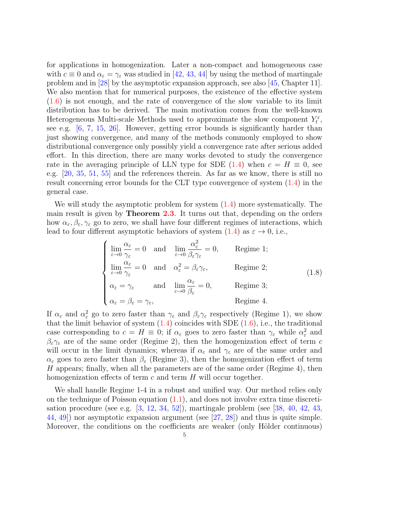for applications in homogenization. Later a non-compact and homogeneous case with  $c \equiv 0$  and  $\alpha_{\varepsilon} = \gamma_{\varepsilon}$  was studied in [\[42,](#page-36-3) [43,](#page-36-4) [44\]](#page-36-5) by using the method of martingale problem and in [\[28\]](#page-36-13) by the asymptotic expansion approach, see also [\[45,](#page-37-3) Chapter 11]. We also mention that for numerical purposes, the existence of the effective system [\(1.6\)](#page-3-1) is not enough, and the rate of convergence of the slow variable to its limit distribution has to be derived. The main motivation comes from the well-known Heterogeneous Multi-scale Methods used to approximate the slow component  $Y_t^{\varepsilon}$ , see e.g. [\[6,](#page-35-19) [7,](#page-35-6) [15,](#page-35-20) [26\]](#page-36-19). However, getting error bounds is significantly harder than just showing convergence, and many of the methods commonly employed to show distributional convergence only possibly yield a convergence rate after serious added effort. In this direction, there are many works devoted to study the convergence rate in the averaging principle of LLN type for SDE  $(1.4)$  when  $c = H \equiv 0$ , see e.g. [\[20,](#page-35-21) [35,](#page-36-20) [51,](#page-37-7) [55\]](#page-37-8) and the references therein. As far as we know, there is still no result concerning error bounds for the CLT type convergence of system [\(1.4\)](#page-2-0) in the general case.

We will study the asymptotic problem for system [\(1.4\)](#page-2-0) more systematically. The main result is given by **Theorem [2.3](#page-9-0)**. It turns out that, depending on the orders how  $\alpha_{\varepsilon}, \beta_{\varepsilon}, \gamma_{\varepsilon}$  go to zero, we shall have four different regimes of interactions, which lead to four different asymptotic behaviors of system  $(1.4)$  as  $\varepsilon \to 0$ , i.e.,

<span id="page-4-0"></span>
$$
\begin{cases}\n\lim_{\varepsilon \to 0} \frac{\alpha_{\varepsilon}}{\gamma_{\varepsilon}} = 0 & \text{and} \quad \lim_{\varepsilon \to 0} \frac{\alpha_{\varepsilon}^2}{\beta_{\varepsilon} \gamma_{\varepsilon}} = 0, & \text{Regime 1;}\\
\lim_{\varepsilon \to 0} \frac{\alpha_{\varepsilon}}{\gamma_{\varepsilon}} = 0 & \text{and} \quad \alpha_{\varepsilon}^2 = \beta_{\varepsilon} \gamma_{\varepsilon}, & \text{Regime 2;}\\
\alpha_{\varepsilon} = \gamma_{\varepsilon} & \text{and} \quad \lim_{\varepsilon \to 0} \frac{\alpha_{\varepsilon}}{\beta_{\varepsilon}} = 0, & \text{Regime 3;}\\
\alpha_{\varepsilon} = \beta_{\varepsilon} = \gamma_{\varepsilon}, & \text{Regime 4.}\n\end{cases}
$$

If  $\alpha_{\varepsilon}$  and  $\alpha_{\varepsilon}^2$  go to zero faster than  $\gamma_{\varepsilon}$  and  $\beta_{\varepsilon}\gamma_{\varepsilon}$  respectively (Regime 1), we show that the limit behavior of system  $(1.4)$  coincides with SDE  $(1.6)$ , i.e., the traditional case corresponding to  $c = H \equiv 0$ ; if  $\alpha_{\varepsilon}$  goes to zero faster than  $\gamma_{\varepsilon}$  while  $\alpha_{\varepsilon}^2$  and  $\beta_{\varepsilon}\gamma_{\varepsilon}$  are of the same order (Regime 2), then the homogenization effect of term c will occur in the limit dynamics; whereas if  $\alpha_{\varepsilon}$  and  $\gamma_{\varepsilon}$  are of the same order and  $\alpha_{\varepsilon}$  goes to zero faster than  $\beta_{\varepsilon}$  (Regime 3), then the homogenization effect of term H appears; finally, when all the parameters are of the same order (Regime 4), then homogenization effects of term  $c$  and term  $H$  will occur together.

We shall handle Regime 1-4 in a robust and unified way. Our method relies only on the technique of Poisson equation  $(1.1)$ , and does not involve extra time discretisation procedure (see e.g.  $[3, 12, 34, 52]$  $[3, 12, 34, 52]$  $[3, 12, 34, 52]$  $[3, 12, 34, 52]$  $[3, 12, 34, 52]$  $[3, 12, 34, 52]$  $[3, 12, 34, 52]$ ), martingale problem (see [\[38,](#page-36-9) [40,](#page-36-1) [42,](#page-36-3) [43,](#page-36-4) [44,](#page-36-5) [49\]](#page-37-2)) nor asymptotic expansion argument (see [\[27,](#page-36-12) [28\]](#page-36-13)) and thus is quite simple. Moreover, the conditions on the coefficients are weaker (only Hölder continuous)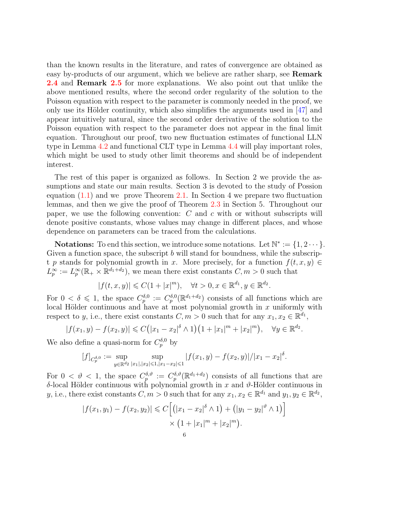than the known results in the literature, and rates of convergence are obtained as easy by-products of our argument, which we believe are rather sharp, see **Remark** [2.4](#page-9-1) and Remark [2.5](#page-10-0) for more explanations. We also point out that unlike the above mentioned results, where the second order regularity of the solution to the Poisson equation with respect to the parameter is commonly needed in the proof, we only use its Hölder continuity, which also simplifies the arguments used in  $[47]$  and appear intuitively natural, since the second order derivative of the solution to the Poisson equation with respect to the parameter does not appear in the final limit equation. Throughout our proof, two new fluctuation estimates of functional LLN type in Lemma [4.2](#page-23-0) and functional CLT type in Lemma [4.4](#page-26-0) will play important roles, which might be used to study other limit theorems and should be of independent interest.

The rest of this paper is organized as follows. In Section 2 we provide the assumptions and state our main results. Section 3 is devoted to the study of Possion equation [\(1.1\)](#page-0-0) and we prove Theorem [2.1.](#page-6-0) In Section 4 we prepare two fluctuation lemmas, and then we give the proof of Theorem [2.3](#page-9-0) in Section 5. Throughout our paper, we use the following convention:  $C$  and  $c$  with or without subscripts will denote positive constants, whose values may change in different places, and whose dependence on parameters can be traced from the calculations.

**Notations:** To end this section, we introduce some notations. Let  $\mathbb{N}^* := \{1, 2 \cdots\}$ . Given a function space, the subscript  $b$  will stand for boundness, while the subscript p stands for polynomial growth in x. More precisely, for a function  $f(t, x, y) \in$  $L_p^{\infty} := L_p^{\infty}(\mathbb{R}_+ \times \mathbb{R}^{d_1+d_2}),$  we mean there exist constants  $C, m > 0$  such that

$$
|f(t, x, y)| \leq C(1 + |x|^m), \quad \forall t > 0, x \in \mathbb{R}^{d_1}, y \in \mathbb{R}^{d_2}.
$$

For  $0 < \delta \leq 1$ , the space  $C_p^{\delta,0} := C_p^{\delta,0}(\mathbb{R}^{d_1+d_2})$  consists of all functions which are local Hölder continuous and have at most polynomial growth in  $x$  uniformly with respect to y, i.e., there exist constants  $C, m > 0$  such that for any  $x_1, x_2 \in \mathbb{R}^{d_1}$ ,

$$
|f(x_1, y) - f(x_2, y)| \leq C(|x_1 - x_2|^{\delta} \wedge 1)(1 + |x_1|^m + |x_2|^m), \quad \forall y \in \mathbb{R}^{d_2}.
$$

We also define a quasi-norm for  $C_p^{\delta,0}$  by

$$
[f]_{C_p^{\delta,0}} := \sup_{y \in \mathbb{R}^{d_2}} \sup_{|x_1|,|x_2| \leq 1,|x_1 - x_2| \leq 1} |f(x_1, y) - f(x_2, y)|/|x_1 - x_2|^{\delta}.
$$

For  $0 < \vartheta < 1$ , the space  $C_p^{\delta,\vartheta} := C_p^{\delta,\vartheta}(\mathbb{R}^{d_1+d_2})$  consists of all functions that are δ-local Hölder continuous with polynomial growth in x and  $\vartheta$ -Hölder continuous in y, i.e., there exist constants  $C, m > 0$  such that for any  $x_1, x_2 \in \mathbb{R}^{d_1}$  and  $y_1, y_2 \in \mathbb{R}^{d_2}$ ,

$$
|f(x_1, y_1) - f(x_2, y_2)| \leq C \Big[ (|x_1 - x_2|^{\delta} \wedge 1) + (|y_1 - y_2|^{\vartheta} \wedge 1) \Big] \times (1 + |x_1|^m + |x_2|^m).
$$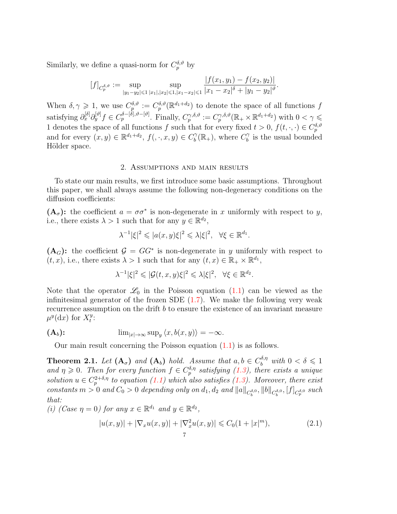Similarly, we define a quasi-norm for  $C_p^{\delta,\vartheta}$  by

$$
[f]_{C_p^{\delta,\vartheta}} := \sup_{|y_1-y_2| \leq 1} \sup_{|x_1|,|x_2| \leq 1,|x_1-x_2| \leq 1} \frac{|f(x_1,y_1) - f(x_2,y_2)|}{|x_1 - x_2|^{\delta} + |y_1 - y_2|^{\vartheta}}.
$$

When  $\delta, \gamma \geq 1$ , we use  $C_p^{\delta, \theta} := C_p^{\delta, \theta}(\mathbb{R}^{d_1+d_2})$  to denote the space of all functions f satisfying  $\partial_x^{[\delta]} \partial_y^{[\delta]} f \in C_p^{\delta - [\delta], \vartheta - [\vartheta]}$ . Finally,  $C_p^{\gamma, \delta, \vartheta} := C_p^{\gamma, \delta, \vartheta}(\mathbb{R}_+ \times \mathbb{R}^{d_1 + d_2})$  with  $0 < \gamma \leq$ 1 denotes the space of all functions f such that for every fixed  $t > 0$ ,  $f(t, \cdot, \cdot) \in C_p^{\delta, \vartheta}$ and for every  $(x, y) \in \mathbb{R}^{d_1+d_2}$ ,  $f(, \cdot, x, y) \in C_b^{\gamma}$  $b^{\gamma}(\mathbb{R}_{+}),$  where  $C_b^{\gamma}$  $\hat{b}$  is the usual bounded Hölder space.

# 2. Assumptions and main results

To state our main results, we first introduce some basic assumptions. Throughout this paper, we shall always assume the following non-degeneracy conditions on the diffusion coefficients:

 $(A_{\sigma})$ : the coefficient  $a = \sigma \sigma^*$  is non-degenerate in x uniformly with respect to y, i.e., there exists  $\lambda > 1$  such that for any  $y \in \mathbb{R}^{d_2}$ ,

$$
\lambda^{-1}|\xi|^2 \leqslant |a(x,y)\xi|^2 \leqslant \lambda |\xi|^2, \quad \forall \xi \in \mathbb{R}^{d_1}.
$$

 $(A_G)$ : the coefficient  $G = GG^*$  is non-degenerate in y uniformly with respect to  $(t, x)$ , i.e., there exists  $\lambda > 1$  such that for any  $(t, x) \in \mathbb{R}_+ \times \mathbb{R}^{d_1}$ ,

$$
\lambda^{-1}|\xi|^2 \leqslant |\mathcal{G}(t,x,y)\xi|^2 \leqslant \lambda |\xi|^2, \quad \forall \xi \in \mathbb{R}^{d_2}.
$$

Note that the operator  $\mathscr{L}_0$  in the Poisson equation [\(1.1\)](#page-0-0) can be viewed as the infinitesimal generator of the frozen SDE  $(1.7)$ . We make the following very weak recurrence assumption on the drift b to ensure the existence of an invariant measure  $\mu^y(\mathrm{d}x)$  for  $X_t^y$  $\frac{y}{t}$ :

$$
(\mathbf{A}_b): \hspace{1cm} \lim_{|x|\to\infty} \sup\nolimits_y \langle x, b(x,y) \rangle = -\infty.
$$

Our main result concerning the Poisson equation [\(1.1\)](#page-0-0) is as follows.

<span id="page-6-0"></span>**Theorem 2.1.** Let  $(A_{\sigma})$  and  $(A_b)$  hold. Assume that  $a, b \in C_b^{\delta, \eta}$  with  $0 < \delta \leq 1$ and  $\eta \geq 0$ . Then for every function  $f \in C_p^{\delta,\eta}$  satisfying [\(1.3\)](#page-1-0), there exists a unique solution  $u \in C_p^{2+\delta,\eta}$  to equation [\(1.1\)](#page-0-0) which also satisfies [\(1.3\)](#page-1-0). Moreover, there exist constants  $m > 0$  and  $C_0 > 0$  depending only on  $d_1, d_2$  and  $||a||_{C_b^{\delta,0}}, ||b||_{C_b^{\delta,0}}, [f]_{C_p^{\delta,0}}$  such that:

(i) (Case  $\eta = 0$ ) for any  $x \in \mathbb{R}^{d_1}$  and  $y \in \mathbb{R}^{d_2}$ ,

<span id="page-6-1"></span>
$$
|u(x,y)| + |\nabla_x u(x,y)| + |\nabla_x^2 u(x,y)| \leq C_0(1+|x|^m),
$$
\n(2.1)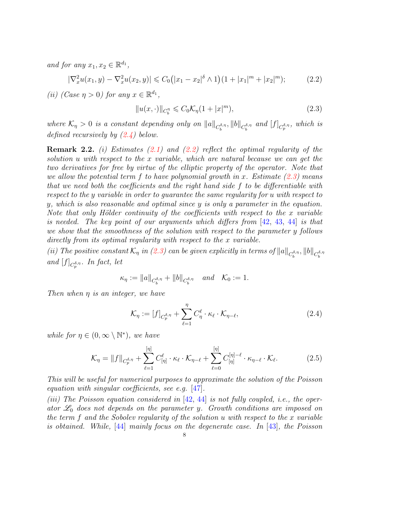and for any  $x_1, x_2 \in \mathbb{R}^{d_1}$ ,

$$
|\nabla_x^2 u(x_1, y) - \nabla_x^2 u(x_2, y)| \leq C_0(|x_1 - x_2|^\delta \wedge 1)(1 + |x_1|^m + |x_2|^m); \tag{2.2}
$$

(*ii*) (Case  $\eta > 0$ ) for any  $x \in \mathbb{R}^{d_1}$ ,

<span id="page-7-2"></span><span id="page-7-1"></span>
$$
||u(x, \cdot)||_{C_b^{\eta}} \leqslant C_0 \mathcal{K}_{\eta} (1+|x|^m), \tag{2.3}
$$

where  $\mathcal{K}_\eta > 0$  is a constant depending only on  $||a||_{C_b^{\delta,\eta}}, ||b||_{C_b^{\delta,\eta}}$  and  $[f]_{C_p^{\delta,\eta}},$  which is defined recursively by [\(2.4\)](#page-7-0) below.

**Remark 2.2.** (i) Estimates  $(2.1)$  and  $(2.2)$  reflect the optimal regularity of the solution u with respect to the x variable, which are natural because we can get the two derivatives for free by virtue of the elliptic property of the operator. Note that we allow the potential term f to have polynomial growth in x. Estimate  $(2.3)$  means that we need both the coefficients and the right hand side f to be differentiable with respect to the y variable in order to guarantee the same regularity for u with respect to y, which is also reasonable and optimal since  $y$  is only a parameter in the equation. Note that only Hölder continuity of the coefficients with respect to the  $x$  variable is needed. The key point of our arguments which differs from [\[42,](#page-36-3) [43,](#page-36-4) [44\]](#page-36-5) is that we show that the smoothness of the solution with respect to the parameter y follows directly from its optimal regularity with respect to the x variable.

(ii) The positive constant  $\mathcal{K}_\eta$  in [\(2.3\)](#page-7-2) can be given explicitly in terms of  $||a||_{C_b^{\delta,\eta}}, ||b||_{C_b^{\delta,\eta}}$ and  $[f]_{C_p^{\delta,\eta}}$ . In fact, let

$$
\kappa_{\eta} := ||a||_{C_b^{\delta,\eta}} + ||b||_{C_b^{\delta,\eta}} \quad \text{and} \quad \mathcal{K}_0 := 1.
$$

Then when η is an integer, we have

<span id="page-7-3"></span><span id="page-7-0"></span>
$$
\mathcal{K}_{\eta} := [f]_{C_p^{\delta,\eta}} + \sum_{\ell=1}^{\eta} C_{\eta}^{\ell} \cdot \kappa_{\ell} \cdot \mathcal{K}_{\eta-\ell}, \tag{2.4}
$$

while for  $\eta \in (0, \infty \setminus \mathbb{N}^*)$ , we have

$$
\mathcal{K}_{\eta} = ||f||_{C_p^{\delta,\eta}} + \sum_{\ell=1}^{[\eta]} C_{[\eta]}^{\ell} \cdot \kappa_{\ell} \cdot \mathcal{K}_{\eta-\ell} + \sum_{\ell=0}^{[\eta]} C_{[\eta]}^{[\eta]-\ell} \cdot \kappa_{\eta-\ell} \cdot \mathcal{K}_{\ell}.
$$
 (2.5)

This will be useful for numerical purposes to approximate the solution of the Poisson equation with singular coefficients, see e.g. [\[47\]](#page-37-0).

(iii) The Poisson equation considered in  $[42, 44]$  $[42, 44]$  $[42, 44]$  is not fully coupled, i.e., the operator  $\mathscr{L}_0$  does not depends on the parameter y. Growth conditions are imposed on the term  $f$  and the Sobolev regularity of the solution  $u$  with respect to the  $x$  variable is obtained. While, [\[44\]](#page-36-5) mainly focus on the degenerate case. In [\[43\]](#page-36-4), the Poisson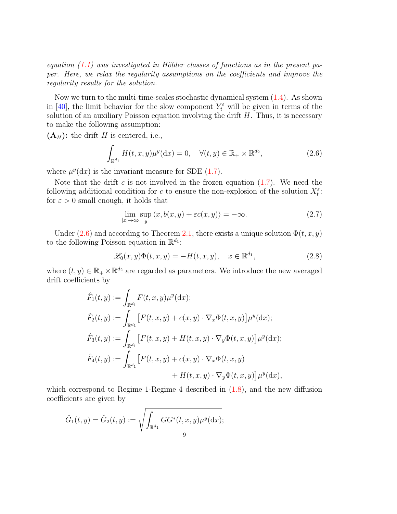equation  $(1.1)$  was investigated in Hölder classes of functions as in the present paper. Here, we relax the regularity assumptions on the coefficients and improve the regularity results for the solution.

Now we turn to the multi-time-scales stochastic dynamical system [\(1.4\)](#page-2-0). As shown in [\[40\]](#page-36-1), the limit behavior for the slow component  $Y_t^{\varepsilon}$  will be given in terms of the solution of an auxiliary Poisson equation involving the drift  $H$ . Thus, it is necessary to make the following assumption:

 $(A_H)$ : the drift H is centered, i.e.,

$$
\int_{\mathbb{R}^{d_1}} H(t, x, y) \mu^y(\mathrm{d}x) = 0, \quad \forall (t, y) \in \mathbb{R}_+ \times \mathbb{R}^{d_2},\tag{2.6}
$$

where  $\mu^{y}(\mathrm{d}x)$  is the invariant measure for SDE [\(1.7\)](#page-3-0).

Note that the drift c is not involved in the frozen equation  $(1.7)$ . We need the following additional condition for c to ensure the non-explosion of the solution  $X_t^{\varepsilon}$ : for  $\varepsilon > 0$  small enough, it holds that

<span id="page-8-2"></span><span id="page-8-1"></span><span id="page-8-0"></span>
$$
\lim_{|x| \to \infty} \sup_{y} \langle x, b(x, y) + \varepsilon c(x, y) \rangle = -\infty. \tag{2.7}
$$

Under [\(2.6\)](#page-8-0) and according to Theorem [2.1,](#page-6-0) there exists a unique solution  $\Phi(t, x, y)$ to the following Poisson equation in  $\mathbb{R}^{d_1}$ :

$$
\mathcal{L}_0(x, y)\Phi(t, x, y) = -H(t, x, y), \quad x \in \mathbb{R}^{d_1},\tag{2.8}
$$

where  $(t, y) \in \mathbb{R}_+ \times \mathbb{R}^{d_2}$  are regarded as parameters. We introduce the new averaged drift coefficients by

$$
\hat{F}_1(t,y) := \int_{\mathbb{R}^{d_1}} F(t,x,y)\mu^y(\mathrm{d}x); \n\hat{F}_2(t,y) := \int_{\mathbb{R}^{d_1}} \left[ F(t,x,y) + c(x,y) \cdot \nabla_x \Phi(t,x,y) \right] \mu^y(\mathrm{d}x); \n\hat{F}_3(t,y) := \int_{\mathbb{R}^{d_1}} \left[ F(t,x,y) + H(t,x,y) \cdot \nabla_y \Phi(t,x,y) \right] \mu^y(\mathrm{d}x); \n\hat{F}_4(t,y) := \int_{\mathbb{R}^{d_1}} \left[ F(t,x,y) + c(x,y) \cdot \nabla_x \Phi(t,x,y) \right] \mu^y(\mathrm{d}x), \n+ H(t,x,y) \cdot \nabla_y \Phi(t,x,y) \right] \mu^y(\mathrm{d}x),
$$

which correspond to Regime 1-Regime 4 described in  $(1.8)$ , and the new diffusion coefficients are given by

$$
\hat{G}_1(t,y) = \hat{G}_2(t,y) := \sqrt{\int_{\mathbb{R}^{d_1}} G G^*(t,x,y) \mu^y(\mathrm{d}x)};
$$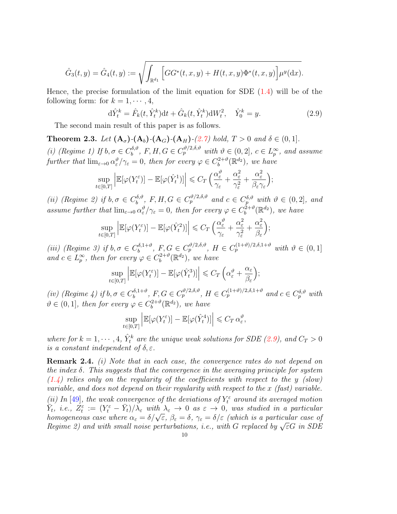$$
\hat{G}_3(t,y) = \hat{G}_4(t,y) := \sqrt{\int_{\mathbb{R}^{d_1}} \left[ GG^*(t,x,y) + H(t,x,y) \Phi^*(t,x,y) \right] \mu^y(\mathrm{d}x)}.
$$

Hence, the precise formulation of the limit equation for SDE [\(1.4\)](#page-2-0) will be of the following form: for  $k = 1, \dots, 4$ ,

$$
d\hat{Y}_t^k = \hat{F}_k(t, \hat{Y}_t^k)dt + \hat{G}_k(t, \hat{Y}_t^k)dW_t^2, \quad \hat{Y}_0^k = y.
$$
 (2.9)

<span id="page-9-2"></span>;

The second main result of this paper is as follows.

<span id="page-9-0"></span>**Theorem 2.3.** Let  $(A_{\sigma})$ - $(A_{b})$ - $(A_{G})$ - $(A_{H})$ - $(2.7)$  hold,  $T > 0$  and  $\delta \in (0, 1]$ .

(i) (Regime 1) If  $b, \sigma \in C_b^{\delta, \vartheta}$  $b_0^{\delta,\vartheta}, F, H, G \in C_p^{\vartheta/2, \delta, \vartheta}$  with  $\vartheta \in (0, 2], c \in L_p^{\infty}$ , and assume further that  $\lim_{\varepsilon \to 0} \alpha_{\varepsilon}^{\vartheta}/\gamma_{\varepsilon} = 0$ , then for every  $\varphi \in C_b^{2+\vartheta}$  $b^{2+\vartheta}(\mathbb{R}^{d_2}),$  we have

$$
\sup_{t\in[0,T]}\left|\mathbb{E}[\varphi(Y_t^{\varepsilon})] - \mathbb{E}[\varphi(\hat{Y}_t^1)]\right| \leqslant C_T \left(\frac{\alpha_{\varepsilon}^{\vartheta}}{\gamma_{\varepsilon}} + \frac{\alpha_{\varepsilon}^2}{\gamma_{\varepsilon}^2} + \frac{\alpha_{\varepsilon}^2}{\beta_{\varepsilon}\gamma_{\varepsilon}}\right);
$$

(*ii*) (Regime 2) if  $b, \sigma \in C_b^{\delta, \vartheta}$  $b_1^{\delta,\vartheta}, F, H, G \in C_p^{\vartheta/2, \delta, \vartheta}$  and  $c \in C_p^{\delta, \vartheta}$  with  $\vartheta \in (0, 2]$ , and assume further that  $\lim_{\varepsilon \to 0} \alpha_{\varepsilon}^{\vartheta}/\gamma_{\varepsilon} = 0$ , then for every  $\varphi \in C_b^{2+\vartheta}$  $b^{\overline{2}+\vartheta}(\mathbb{R}^{d_2}),$  we have

$$
\sup_{t \in [0,T]} \left| \mathbb{E}[\varphi(Y_t^{\varepsilon})] - \mathbb{E}[\varphi(\hat{Y}_t^2)] \right| \leq C_T \left( \frac{\alpha_{\varepsilon}^{\vartheta}}{\gamma_{\varepsilon}} + \frac{\alpha_{\varepsilon}^2}{\gamma_{\varepsilon}^2} + \frac{\alpha_{\varepsilon}^2}{\beta_{\varepsilon}} \right)
$$

(iii) (Regime 3) if  $b, \sigma \in C_b^{\delta, 1+\vartheta}$  $b_b^{\delta,1+\vartheta}, F, G \in C_p^{\vartheta/2,\delta,\vartheta}, H \in C_p^{(1+\vartheta)/2,\delta,1+\vartheta}$  with  $\vartheta \in (0,1]$ and  $c \in L_p^{\infty}$ , then for every  $\varphi \in C_b^{2+\vartheta}$  $b^{2+\vartheta}(\mathbb{R}^{d_2}),$  we have

$$
\sup_{t\in[0,T]}\left|\mathbb{E}[\varphi(Y_t^{\varepsilon})]-\mathbb{E}[\varphi(\hat{Y}_t^3)]\right|\leqslant C_T\left(\alpha_{\varepsilon}^{\vartheta}+\frac{\alpha_{\varepsilon}}{\beta_{\varepsilon}}\right);
$$

(iv) (Regime 4) if  $b, \sigma \in C_b^{\delta, 1+\vartheta}$  $b_1^{\delta,1+\vartheta}, F, G \in C_p^{\vartheta/2,\delta,\vartheta}, H \in C_p^{(1+\vartheta)/2,\delta,1+\vartheta}$  and  $c \in C_p^{\delta,\vartheta}$  with  $\vartheta \in (0,1],$  then for every  $\varphi \in C_b^{2+\vartheta}$  $b^{2+\vartheta}(\mathbb{R}^{d_2}),$  we have

$$
\sup_{t \in [0,T]} \left| \mathbb{E}[\varphi(Y_t^{\varepsilon})] - \mathbb{E}[\varphi(\hat{Y}_t^4)] \right| \leq C_T \, \alpha_{\varepsilon}^{\vartheta},
$$

where for  $k = 1, \dots, 4$ ,  $\hat{Y}_t^k$  are the unique weak solutions for SDE [\(2.9\)](#page-9-2), and  $C_T > 0$ is a constant independent of  $\delta, \varepsilon$ .

<span id="page-9-1"></span>Remark 2.4. (i) Note that in each case, the convergence rates do not depend on the index  $\delta$ . This suggests that the convergence in the averaging principle for system  $(1.4)$  relies only on the regularity of the coefficients with respect to the y (slow) variable, and does not depend on their regularity with respect to the x (fast) variable. (ii) In [\[49\]](#page-37-2), the weak convergence of the deviations of  $Y_t^{\varepsilon}$  around its averaged motion  $\overline{Y}_t$ , i.e.,  $Z_t^{\varepsilon} := (Y_t^{\varepsilon} - \overline{Y}_t)/\lambda_{\varepsilon}$  with  $\lambda_{\varepsilon} \to 0$  as  $\varepsilon \to 0$ , was studied in a particular  $h_t, \, u.e., \, \Sigma_t := (r_t - r_t)/\lambda_{\varepsilon}$  with  $\lambda_{\varepsilon} \to 0$  as  $\varepsilon \to 0$ , was studied in a particular case of homogeneous case where  $\alpha_{\varepsilon} = \delta/\sqrt{\varepsilon}$ ,  $\beta_{\varepsilon} = \delta$ ,  $\gamma_{\varepsilon} = \delta/\varepsilon$  (which is a particular case of nomogeneous case where  $\alpha_{\varepsilon} = o/\sqrt{\varepsilon}$ ,  $\rho_{\varepsilon} = o$ ,  $\gamma_{\varepsilon} = o/\varepsilon$  (which is a particular case of Regime 2) and with small noise perturbations, i.e., with G replaced by  $\sqrt{\varepsilon}G$  in SDE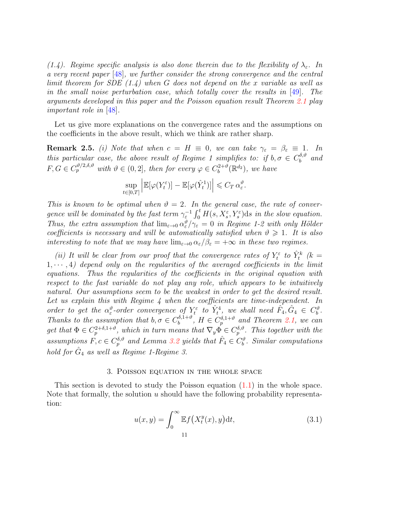(1.4). Regime specific analysis is also done therein due to the flexibility of  $\lambda_{\varepsilon}$ . In a very recent paper [\[48\]](#page-37-9), we further consider the strong convergence and the central limit theorem for SDE  $(1.4)$  when G does not depend on the x variable as well as in the small noise perturbation case, which totally cover the results in [\[49\]](#page-37-2). The arguments developed in this paper and the Poisson equation result Theorem [2.1](#page-6-0) play important role in [\[48\]](#page-37-9).

Let us give more explanations on the convergence rates and the assumptions on the coefficients in the above result, which we think are rather sharp.

<span id="page-10-0"></span>**Remark 2.5.** (i) Note that when  $c = H \equiv 0$ , we can take  $\gamma_{\varepsilon} = \beta_{\varepsilon} \equiv 1$ . In this particular case, the above result of Regime 1 simplifies to: if  $b, \sigma \in C_b^{\delta, \vartheta}$  $\int_b^{b,\vartheta}$  and  $F, G \in C_p^{\vartheta/2, \delta, \vartheta}$  with  $\vartheta \in (0, 2]$ , then for every  $\varphi \in C_b^{2+\vartheta}$  $b^{2+\vartheta}(\mathbb{R}^{d_2}),$  we have

$$
\sup_{t \in [0,T]} \left| \mathbb{E}[\varphi(Y_t^{\varepsilon})] - \mathbb{E}[\varphi(\hat{Y}_t^1)] \right| \leq C_T \, \alpha_{\varepsilon}^{\vartheta}.
$$

This is known to be optimal when  $\vartheta = 2$ . In the general case, the rate of convergence will be dominated by the fast term  $\gamma_{\varepsilon}^{-1} \int_0^t H(s,X_s^{\varepsilon},Y_s^{\varepsilon}) ds$  in the slow equation. Thus, the extra assumption that  $\lim_{\varepsilon\to 0} \alpha_\varepsilon^{\vartheta}/\gamma_{\varepsilon} = 0$  in Regime 1-2 with only Hölder coefficients is necessary and will be automatically satisfied when  $\vartheta \geq 1$ . It is also interesting to note that we may have  $\lim_{\varepsilon\to 0} \alpha_{\varepsilon}/\beta_{\varepsilon} = +\infty$  in these two regimes.

(ii) It will be clear from our proof that the convergence rates of  $Y_t^{\varepsilon}$  to  $\hat{Y}_t^k$  (k =  $1, \dots, 4$ ) depend only on the regularities of the averaged coefficients in the limit equations. Thus the regularities of the coefficients in the original equation with respect to the fast variable do not play any role, which appears to be intuitively natural. Our assumptions seem to be the weakest in order to get the desired result. Let us explain this with Regime 4 when the coefficients are time-independent. In order to get the  $\alpha_{\varepsilon}^{\vartheta}$ -order convergence of  $Y_{t}^{\varepsilon}$  to  $\hat{Y}_{t}^{4}$ , we shall need  $\hat{F}_{4}, \hat{G}_{4} \in C_{b}^{\vartheta}$ . Thanks to the assumption that  $b, \sigma \in C_b^{\delta, 1+\vartheta}$  $b_b^{\delta,1+\vartheta}, H \in C_p^{\delta,1+\vartheta}$  and Theorem [2.1,](#page-6-0) we can get that  $\Phi \in C_p^{2+\delta,1+\vartheta}$ , which in turn means that  $\nabla_y \Phi \in C_p^{\delta,\vartheta}$ . This together with the assumptions  $\overline{F}, c \in C_p^{\delta, \vartheta}$  and Lemma [3.2](#page-12-0) yields that  $\hat{F}_4 \in C_b^{\vartheta}$ . Similar computations hold for  $\hat{G}_4$  as well as Regime 1-Regime 3.

### 3. Poisson equation in the whole space

This section is devoted to study the Poisson equation [\(1.1\)](#page-0-0) in the whole space. Note that formally, the solution  $u$  should have the following probability representation:

<span id="page-10-1"></span>
$$
u(x,y) = \int_0^\infty \mathbb{E}f\left(X_t^y(x),y\right) \mathrm{d}t,\tag{3.1}
$$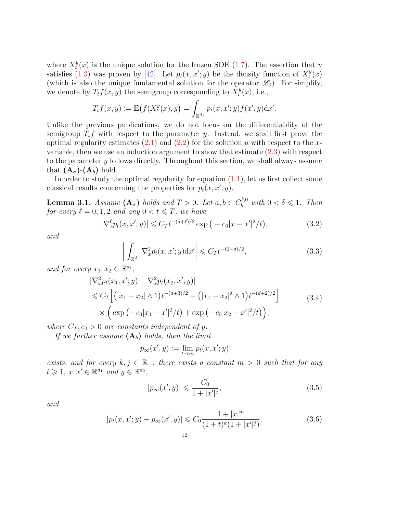where  $X_t^y$  $t<sup>y</sup>(x)$  is the unique solution for the frozen SDE [\(1.7\)](#page-3-0). The assertion that u satisfies [\(1.3\)](#page-1-0) was proven by [\[42\]](#page-36-3). Let  $p_t(x, x'; y)$  be the density function of  $X_t^y$  $_{t}^{y}(x)$ (which is also the unique fundamental solution for the operator  $\mathscr{L}_0$ ). For simplify, we denote by  $T_t f(x, y)$  the semigroup corresponding to  $\tilde{X}_t^y$  $u_t^y(x)$ , i.e.,

$$
T_t f(x, y) := \mathbb{E}\big(f(X_t^y(x), y) = \int_{\mathbb{R}^{d_1}} p_t(x, x'; y) f(x', y) \mathrm{d} x'.
$$

Unlike the previous publications, we do not focus on the differentiablity of the semigroup  $T_t f$  with respect to the parameter y. Instead, we shall first prove the optimal regularity estimates  $(2.1)$  and  $(2.2)$  for the solution u with respect to the xvariable, then we use an induction argument to show that estimate [\(2.3\)](#page-7-2) with respect to the parameter y follows directly. Throughout this section, we shall always assume that  $(\mathbf{A}_{\sigma})$ - $(\mathbf{A}_{b})$  hold.

In order to study the optimal regularity for equation  $(1.1)$ , let us first collect some classical results concerning the properties for  $p_t(x, x'; y)$ .

**Lemma 3.1.** Assume  $(A_{\sigma})$  holds and  $T > 0$ . Let  $a, b \in C_b^{\delta,0}$  with  $0 < \delta \leq 1$ . Then for every  $\ell = 0, 1, 2$  and any  $0 < t \leq T$ , we have

$$
|\nabla_x^{\ell} p_t(x, x'; y)| \leq C_T t^{-(d+\ell)/2} \exp\left(-c_0 |x - x'|^2 / t\right),\tag{3.2}
$$

and

<span id="page-11-1"></span><span id="page-11-0"></span>
$$
\left| \int_{\mathbb{R}^{d_1}} \nabla_x^2 p_t(x, x'; y) \mathrm{d}x' \right| \leqslant C_T t^{-(2-\delta)/2},\tag{3.3}
$$

and for every  $x_1, x_2 \in \mathbb{R}^{d_1}$ ,

$$
|\nabla_x^2 p_t(x_1, x'; y) - \nabla_x^2 p_t(x_2, x'; y)|
$$
  
\$\leq C\_T \left[ (|x\_1 - x\_2| \wedge 1) t^{-(d+3)/2} + (|x\_1 - x\_2|^\delta \wedge 1) t^{-(d+2)/2} \right] \times \left( \exp(-c\_0 |x\_1 - x'|^2 / t) + \exp(-c\_0 |x\_2 - x'|^2 / t) \right), \qquad (3.4)

where  $C_T$ ,  $c_0 > 0$  are constants independent of y.

If we further assume  $(A_b)$  holds, then the limit

<span id="page-11-2"></span>
$$
p_\infty(x',y) := \lim_{t \to \infty} p_t(x,x';y)
$$

exists, and for every  $k, j \in \mathbb{R}_+$ , there exists a constant  $m > 0$  such that for any  $t \geqslant 1, x, x' \in \mathbb{R}^{d_1}$  and  $y \in \mathbb{R}^{d_2}$ ,

<span id="page-11-4"></span><span id="page-11-3"></span>
$$
|p_{\infty}(x', y)| \leq \frac{C_0}{1 + |x'|^j},
$$
\n(3.5)

and

$$
|p_t(x, x'; y) - p_\infty(x', y)| \leq C_0 \frac{1 + |x|^m}{(1 + t)^k (1 + |x'|^j)}.
$$
\n(3.6)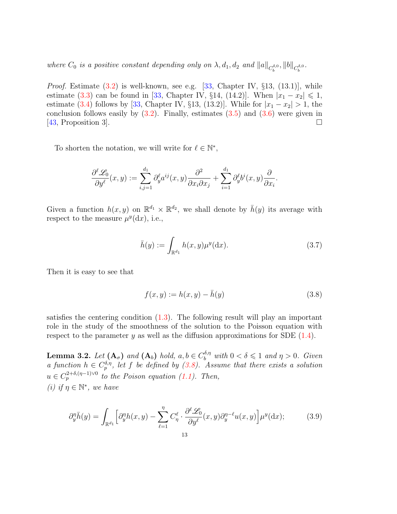where  $C_0$  is a positive constant depending only on  $\lambda$ ,  $d_1$ ,  $d_2$  and  $||a||_{C_b^{\delta,0}}$ ,  $||b||_{C_b^{\delta,0}}$ .

*Proof.* Estimate  $(3.2)$  is well-known, see e.g.  $[33,$  Chapter IV,  $\S 13, (13.1)$ , while estimate [\(3.3\)](#page-11-1) can be found in [\[33,](#page-36-21) Chapter IV, §14, (14.2)]. When  $|x_1 - x_2| \leq 1$ , estimate [\(3.4\)](#page-11-2) follows by [\[33,](#page-36-21) Chapter IV, §13, (13.2)]. While for  $|x_1 - x_2| > 1$ , the conclusion follows easily by  $(3.2)$ . Finally, estimates  $(3.5)$  and  $(3.6)$  were given in [\[43,](#page-36-4) Proposition 3].

To shorten the notation, we will write for  $\ell \in \mathbb{N}^*$ ,

$$
\frac{\partial^{\ell} \mathcal{L}_0}{\partial y^{\ell}}(x, y) := \sum_{i, j=1}^{d_1} \partial_y^{\ell} a^{ij}(x, y) \frac{\partial^2}{\partial x_i \partial x_j} + \sum_{i=1}^{d_1} \partial_y^{\ell} b^i(x, y) \frac{\partial}{\partial x_i}.
$$

Given a function  $h(x, y)$  on  $\mathbb{R}^{d_1} \times \mathbb{R}^{d_2}$ , we shall denote by  $\bar{h}(y)$  its average with respect to the measure  $\mu^y(\mathrm{d}x)$ , i.e.,

<span id="page-12-3"></span>
$$
\bar{h}(y) := \int_{\mathbb{R}^{d_1}} h(x, y) \mu^y(\mathrm{d}x). \tag{3.7}
$$

Then it is easy to see that

<span id="page-12-2"></span><span id="page-12-1"></span>
$$
f(x, y) := h(x, y) - \bar{h}(y)
$$
\n(3.8)

satisfies the centering condition [\(1.3\)](#page-1-0). The following result will play an important role in the study of the smoothness of the solution to the Poisson equation with respect to the parameter y as well as the diffusion approximations for SDE  $(1.4)$ .

<span id="page-12-0"></span>**Lemma 3.2.** Let  $(A_{\sigma})$  and  $(A_b)$  hold,  $a, b \in C_b^{\delta, \eta}$  with  $0 < \delta \leq 1$  and  $\eta > 0$ . Given a function  $h \in C_p^{\delta,\eta}$ , let f be defined by [\(3.8\)](#page-12-1). Assume that there exists a solution  $u \in C_p^{2+\delta, (\eta-1)\vee 0}$  to the Poison equation [\(1.1\)](#page-0-0). Then, (i) if  $\eta \in \mathbb{N}^*$ , we have

$$
\partial_y^{\eta} \bar{h}(y) = \int_{\mathbb{R}^{d_1}} \left[ \partial_y^{\eta} h(x, y) - \sum_{\ell=1}^{\eta} C_{\eta}^{\ell} \cdot \frac{\partial^{\ell} \mathcal{L}_0}{\partial y^{\ell}}(x, y) \partial_y^{\eta - \ell} u(x, y) \right] \mu^y(\mathrm{d}x); \tag{3.9}
$$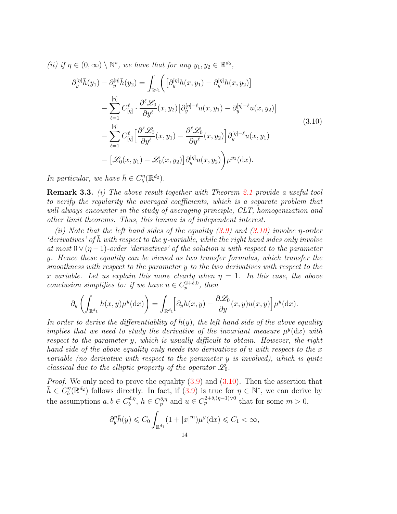(ii) if  $\eta \in (0,\infty) \setminus \mathbb{N}^*$ , we have that for any  $y_1, y_2 \in \mathbb{R}^{d_2}$ ,

<span id="page-13-0"></span>
$$
\partial_y^{[\eta]} \overline{h}(y_1) - \partial_y^{[\eta]} \overline{h}(y_2) = \int_{\mathbb{R}^{d_1}} \Biggl( \left[ \partial_y^{[\eta]} h(x, y_1) - \partial_y^{[\eta]} h(x, y_2) \right] \n- \sum_{\ell=1}^{[\eta]} C_{[\eta]}^{\ell} \cdot \frac{\partial^{\ell} \mathcal{L}_0}{\partial y^{\ell}}(x, y_2) \left[ \partial_y^{[\eta] - \ell} u(x, y_1) - \partial_y^{[\eta] - \ell} u(x, y_2) \right] \n- \sum_{\ell=1}^{[\eta]} C_{[\eta]}^{\ell} \left[ \frac{\partial^{\ell} \mathcal{L}_0}{\partial y^{\ell}}(x, y_1) - \frac{\partial^{\ell} \mathcal{L}_0}{\partial y^{\ell}}(x, y_2) \right] \partial_y^{[\eta] - \ell} u(x, y_1) \n- \left[ \mathcal{L}_0(x, y_1) - \mathcal{L}_0(x, y_2) \right] \partial_y^{[\eta]} u(x, y_2) \Biggr) \mu^{y_1}(\mathrm{d}x).
$$
\n(3.10)

In particular, we have  $\bar{h} \in C_b^{\eta}$  $\binom{\eta}{b}(\mathbb{R}^{d_2})$ .

**Remark 3.3.** (i) The above result together with Theorem [2.1](#page-6-0) provide a useful tool to verify the regularity the averaged coefficients, which is a separate problem that will always encounter in the study of averaging principle, CLT, homogenization and other limit theorems. Thus, this lemma is of independent interest.

(ii) Note that the left hand sides of the equality  $(3.9)$  and  $(3.10)$  involve  $\eta$ -order  $'derivatives'$  of h with respect to the y-variable, while the right hand sides only involve at most  $0 \vee (\eta -1)$ -order 'derivatives' of the solution u with respect to the parameter y. Hence these equality can be viewed as two transfer formulas, which transfer the smoothness with respect to the parameter y to the two derivatives with respect to the x variable. Let us explain this more clearly when  $\eta = 1$ . In this case, the above conclusion simplifies to: if we have  $u \in C_p^{2+\delta,0}$ , then

$$
\partial_y \left( \int_{\mathbb{R}^{d_1}} h(x, y) \mu^y(\mathrm{d}x) \right) = \int_{\mathbb{R}^{d_1}} \left[ \partial_y h(x, y) - \frac{\partial \mathcal{L}_0}{\partial y}(x, y) u(x, y) \right] \mu^y(\mathrm{d}x).
$$

In order to derive the differentiablity of  $\bar{h}(y)$ , the left hand side of the above equality implies that we need to study the derivative of the invariant measure  $\mu^y(\mathrm{d}x)$  with respect to the parameter y, which is usually difficult to obtain. However, the right hand side of the above equality only needs two derivatives of u with respect to the x variable (no derivative with respect to the parameter  $y$  is involved), which is quite classical due to the elliptic property of the operator  $\mathscr{L}_0$ .

*Proof.* We only need to prove the equality  $(3.9)$  and  $(3.10)$ . Then the assertion that  $\bar{h}\in \overset{\circ}{C_b^{\eta}}$  $\eta_b^{\eta}(\mathbb{R}^{d_2})$  follows directly. In fact, if  $(3.9)$  is true for  $\eta \in \mathbb{N}^*$ , we can derive by the assumptions  $a, b \in C_b^{\delta, \eta}$  $b_1^{\delta,\eta}, h \in C_p^{\delta,\eta}$  and  $u \in C_p^{2+\delta,(\eta-1)\vee 0}$  that for some  $m > 0$ ,

$$
\partial_y^{\eta} \bar{h}(y) \leqslant C_0 \int_{\mathbb{R}^{d_1}} (1+|x|^m) \mu^y(\mathrm{d}x) \leqslant C_1 < \infty,
$$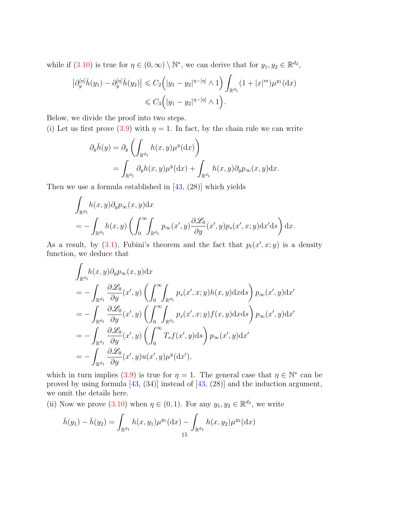while if [\(3.10\)](#page-13-0) is true for  $\eta \in (0, \infty) \setminus \mathbb{N}^*$ , we can derive that for  $y_1, y_2 \in \mathbb{R}^{d_2}$ ,

$$
\left| \partial_y^{[\eta]} \bar{h}(y_1) - \partial_y^{[\eta]} \bar{h}(y_2) \right| \leq C_2 \left( |y_1 - y_2|^{\eta - [\eta]} \wedge 1 \right) \int_{\mathbb{R}^{d_1}} (1 + |x|^m) \mu^{y_1}(\mathrm{d}x)
$$
  

$$
\leq C_3 \left( |y_1 - y_2|^{\eta - [\eta]} \wedge 1 \right).
$$

Below, we divide the proof into two steps.

(i) Let us first prove [\(3.9\)](#page-12-2) with  $\eta = 1$ . In fact, by the chain rule we can write

$$
\partial_y \bar{h}(y) = \partial_y \left( \int_{\mathbb{R}^{d_1}} h(x, y) \mu^y(\mathrm{d}x) \right)
$$
  
= 
$$
\int_{\mathbb{R}^{d_1}} \partial_y h(x, y) \mu^y(\mathrm{d}x) + \int_{\mathbb{R}^{d_1}} h(x, y) \partial_y p_\infty(x, y) \mathrm{d}x.
$$

Then we use a formula established in [\[43,](#page-36-4) (28)] which yields

 $\mathbb{Z}^2$ 

$$
\int_{\mathbb{R}^{d_1}} h(x, y) \partial_y p_{\infty}(x, y) dx
$$
\n
$$
= - \int_{\mathbb{R}^{d_1}} h(x, y) \left( \int_0^{\infty} \int_{\mathbb{R}^{d_1}} p_{\infty}(x', y) \frac{\partial \mathcal{L}_0}{\partial y}(x', y) p_s(x', x; y) dx' ds \right) dx.
$$

As a result, by  $(3.1)$ , Fubini's theorem and the fact that  $p_t(x', x; y)$  is a density function, we deduce that

$$
\int_{\mathbb{R}^{d_1}} h(x, y) \partial_y p_{\infty}(x, y) dx
$$
\n
$$
= - \int_{\mathbb{R}^{d_1}} \frac{\partial \mathcal{L}_0}{\partial y}(x', y) \left( \int_0^{\infty} \int_{\mathbb{R}^{d_1}} p_s(x', x; y) h(x, y) dx ds \right) p_{\infty}(x', y) dx'
$$
\n
$$
= - \int_{\mathbb{R}^{d_1}} \frac{\partial \mathcal{L}_0}{\partial y}(x', y) \left( \int_0^{\infty} \int_{\mathbb{R}^{d_1}} p_s(x', x; y) f(x, y) dx ds \right) p_{\infty}(x', y) dx'
$$
\n
$$
= - \int_{\mathbb{R}^{d_1}} \frac{\partial \mathcal{L}_0}{\partial y}(x', y) \left( \int_0^{\infty} T_s f(x', y) ds \right) p_{\infty}(x', y) dx'
$$
\n
$$
= - \int_{\mathbb{R}^{d_1}} \frac{\partial \mathcal{L}_0}{\partial y}(x', y) u(x', y) \mu^y(dx'),
$$

which in turn implies [\(3.9\)](#page-12-2) is true for  $\eta = 1$ . The general case that  $\eta \in \mathbb{N}^*$  can be proved by using formula [\[43,](#page-36-4) (34)] instead of [\[43,](#page-36-4) (28)] and the induction argument, we omit the details here.

(ii) Now we prove [\(3.10\)](#page-13-0) when  $\eta \in (0,1)$ . For any  $y_1, y_2 \in \mathbb{R}^{d_2}$ , we write

$$
\bar{h}(y_1) - \bar{h}(y_2) = \int_{\mathbb{R}^{d_1}} h(x, y_1) \mu^{y_1}(\mathrm{d}x) - \int_{\mathbb{R}^{d_1}} h(x, y_2) \mu^{y_2}(\mathrm{d}x)
$$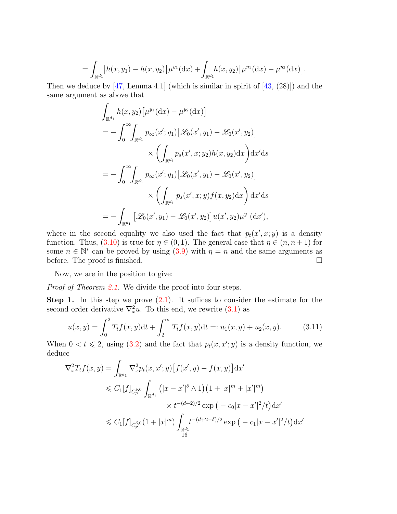$$
= \int_{\mathbb{R}^{d_1}} [h(x, y_1) - h(x, y_2)] \mu^{y_1} (dx) + \int_{\mathbb{R}^{d_1}} h(x, y_2) [\mu^{y_1} (dx) - \mu^{y_2} (dx)].
$$

Then we deduce by  $[47, \text{Lemma } 4.1]$  $[47, \text{Lemma } 4.1]$  (which is similar in spirit of  $[43, (28)]$  $[43, (28)]$ ) and the same argument as above that

$$
\int_{\mathbb{R}^{d_1}} h(x, y_2) \left[ \mu^{y_1} (dx) - \mu^{y_2} (dx) \right]
$$
\n
$$
= - \int_0^\infty \int_{\mathbb{R}^{d_1}} p_\infty(x'; y_1) \left[ \mathcal{L}_0(x', y_1) - \mathcal{L}_0(x', y_2) \right]
$$
\n
$$
\times \left( \int_{\mathbb{R}^{d_1}} p_s(x', x; y_2) h(x, y_2) dx \right) dx'ds
$$
\n
$$
= - \int_0^\infty \int_{\mathbb{R}^{d_1}} p_\infty(x'; y_1) \left[ \mathcal{L}_0(x', y_1) - \mathcal{L}_0(x', y_2) \right]
$$
\n
$$
\times \left( \int_{\mathbb{R}^{d_1}} p_s(x', x; y) f(x, y_2) dx \right) dx'ds
$$
\n
$$
= - \int_{\mathbb{R}^{d_1}} \left[ \mathcal{L}_0(x', y_1) - \mathcal{L}_0(x', y_2) \right] u(x', y_2) \mu^{y_1} (dx'),
$$

where in the second equality we also used the fact that  $p_t(x', x; y)$  is a density function. Thus, [\(3.10\)](#page-13-0) is true for  $\eta \in (0,1)$ . The general case that  $\eta \in (n, n+1)$  for some  $n \in \mathbb{N}^*$  can be proved by using  $(3.9)$  with  $\eta = n$  and the same arguments as before. The proof is finished.

Now, we are in the position to give:

Proof of Theorem [2.1.](#page-6-0) We divide the proof into four steps.

**Step 1.** In this step we prove  $(2.1)$ . It suffices to consider the estimate for the second order derivative  $\nabla_x^2 u$ . To this end, we rewrite  $(3.1)$  as

<span id="page-15-0"></span>
$$
u(x,y) = \int_0^2 T_t f(x,y) dt + \int_2^\infty T_t f(x,y) dt =: u_1(x,y) + u_2(x,y).
$$
 (3.11)

When  $0 < t \le 2$ , using [\(3.2\)](#page-11-0) and the fact that  $p_t(x, x'; y)$  is a density function, we deduce

$$
\nabla_x^2 T_t f(x, y) = \int_{\mathbb{R}^{d_1}} \nabla_x^2 p_t(x, x'; y) \left[ f(x', y) - f(x, y) \right] dx'
$$
  
\n
$$
\leq C_1 [f]_{C_p^{\delta,0}} \int_{\mathbb{R}^{d_1}} \left( |x - x'|^{\delta} \wedge 1 \right) \left( 1 + |x|^m + |x'|^m \right)
$$
  
\n
$$
\times t^{-(d+2)/2} \exp \left( -c_0 |x - x'|^2 / t \right) dx'
$$
  
\n
$$
\leq C_1 [f]_{C_p^{\delta,0}} \left( 1 + |x|^m \right) \int_{\mathbb{R}^{d_1}} t^{-(d+2-\delta)/2} \exp \left( -c_1 |x - x'|^2 / t \right) dx'
$$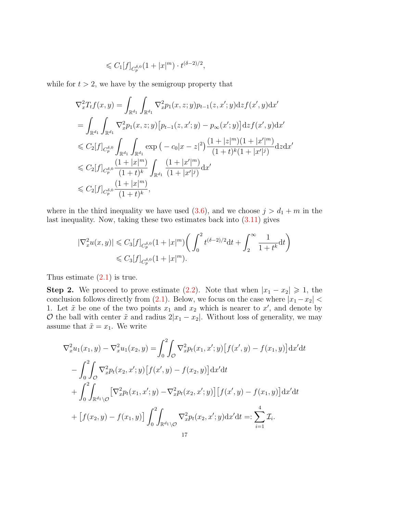$$
\leqslant C_1[f]_{C_p^{\delta,0}}(1+|x|^m)\cdot t^{(\delta-2)/2},
$$

while for  $t > 2$ , we have by the semigroup property that

$$
\nabla_x^2 T_t f(x, y) = \int_{\mathbb{R}^{d_1}} \int_{\mathbb{R}^{d_1}} \nabla_x^2 p_1(x, z; y) p_{t-1}(z, x'; y) \mathrm{d}z f(x', y) \mathrm{d}x'
$$
\n
$$
= \int_{\mathbb{R}^{d_1}} \int_{\mathbb{R}^{d_1}} \nabla_x^2 p_1(x, z; y) \left[ p_{t-1}(z, x'; y) - p_{\infty}(x'; y) \right] \mathrm{d}z f(x', y) \mathrm{d}x'
$$
\n
$$
\leq C_2[f]_{C_p^{\delta,0}} \int_{\mathbb{R}^{d_1}} \int_{\mathbb{R}^{d_1}} \exp\left( -c_0|x-z|^2 \right) \frac{(1+|z|^m)(1+|x'|^m)}{(1+t)^k(1+|x'|^j)} \mathrm{d}z \mathrm{d}x'
$$
\n
$$
\leq C_2[f]_{C_p^{\delta,0}} \frac{(1+|x|^m)}{(1+t)^k} \int_{\mathbb{R}^{d_1}} \frac{(1+|x'|^m)}{(1+|x'|^j)} \mathrm{d}x'
$$
\n
$$
\leq C_2[f]_{C_p^{\delta,0}} \frac{(1+|x|^m)}{(1+t)^k},
$$

where in the third inequality we have used  $(3.6)$ , and we choose  $j > d_1 + m$  in the last inequality. Now, taking these two estimates back into  $(3.11)$  gives

$$
\begin{aligned} |\nabla_x^2 u(x,y)| &\leq C_3[f]_{C_p^{\delta,0}}(1+|x|^m)\bigg(\int_0^2 t^{(\delta-2)/2} \mathrm{d} t + \int_2^\infty \frac{1}{1+t^k} \mathrm{d} t\bigg) \\ &\leqslant C_3[f]_{C_p^{\delta,0}}(1+|x|^m). \end{aligned}
$$

Thus estimate  $(2.1)$  is true.

**Step 2.** We proceed to prove estimate [\(2.2\)](#page-7-1). Note that when  $|x_1 - x_2| \geq 1$ , the conclusion follows directly from [\(2.1\)](#page-6-1). Below, we focus on the case where  $|x_1 - x_2|$  < 1. Let  $\tilde{x}$  be one of the two points  $x_1$  and  $x_2$  which is nearer to  $x'$ , and denote by O the ball with center  $\tilde{x}$  and radius  $2|x_1 - x_2|$ . Without loss of generality, we may assume that  $\tilde{x} = x_1$ . We write

$$
\nabla_x^2 u_1(x_1, y) - \nabla_x^2 u_1(x_2, y) = \int_0^2 \int_C \nabla_x^2 p_t(x_1, x'; y) [f(x', y) - f(x_1, y)] dx'dt \n- \int_0^2 \int_C \nabla_x^2 p_t(x_2, x'; y) [f(x', y) - f(x_2, y)] dx'dt \n+ \int_0^2 \int_{\mathbb{R}^{d_1} \setminus \mathcal{O}} [\nabla_x^2 p_t(x_1, x'; y) - \nabla_x^2 p_t(x_2, x'; y)] [f(x', y) - f(x_1, y)] dx'dt \n+ [f(x_2, y) - f(x_1, y)] \int_0^2 \int_{\mathbb{R}^{d_1} \setminus \mathcal{O}} \nabla_x^2 p_t(x_2, x'; y) dx'dt =: \sum_{i=1}^4 \mathcal{I}_i.
$$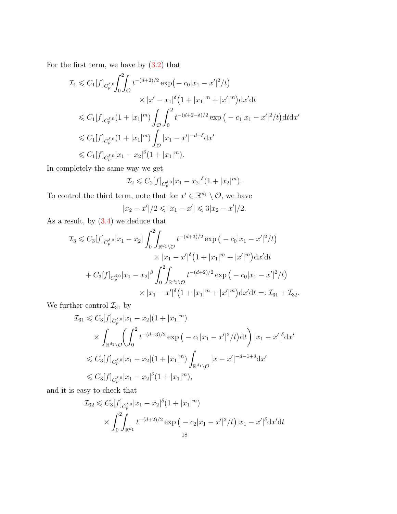For the first term, we have by [\(3.2\)](#page-11-0) that

$$
\mathcal{I}_{1} \leqslant C_{1}[f]_{C_{p}^{\delta,0}} \int_{0}^{2} \int_{\mathcal{O}} t^{-(d+2)/2} \exp\left(-c_{0}|x_{1}-x'|^{2}/t\right)
$$
\n
$$
\times |x'-x_{1}|^{\delta}\left(1+|x_{1}|^{m}+|x'|^{m}\right) \mathrm{d}x' \mathrm{d}t
$$
\n
$$
\leqslant C_{1}[f]_{C_{p}^{\delta,0}} \left(1+|x_{1}|^{m}\right) \int_{\mathcal{O}} \int_{0}^{2} t^{-(d+2-\delta)/2} \exp\left(-c_{1}|x_{1}-x'|^{2}/t\right) \mathrm{d}t \mathrm{d}x'
$$
\n
$$
\leqslant C_{1}[f]_{C_{p}^{\delta,0}} \left(1+|x_{1}|^{m}\right) \int_{\mathcal{O}} |x_{1}-x'|^{-d+\delta} \mathrm{d}x'
$$
\n
$$
\leqslant C_{1}[f]_{C_{p}^{\delta,0}} |x_{1}-x_{2}|^{\delta}\left(1+|x_{1}|^{m}\right).
$$

In completely the same way we get

$$
\mathcal{I}_2 \leqslant C_2[f]_{C_p^{\delta,0}} |x_1 - x_2|^\delta (1 + |x_2|^m).
$$

To control the third term, note that for  $x' \in \mathbb{R}^{d_1} \setminus \mathcal{O}$ , we have

$$
|x_2 - x'|/2 \leq |x_1 - x'| \leq 3|x_2 - x'|/2.
$$

As a result, by  $(3.4)$  we deduce that

$$
\mathcal{I}_3 \leqslant C_3[f]_{C_p^{\delta,0}}|x_1 - x_2| \int_0^2 \int_{\mathbb{R}^{d_1} \setminus \mathcal{O}} t^{-(d+3)/2} \exp\left(-c_0|x_1 - x'|^2/t\right) \times |x_1 - x'|^{\delta}\left(1 + |x_1|^m + |x'|^m\right) \mathrm{d}x' \mathrm{d}t
$$

$$
+ C_3[f]_{C_p^{\delta,0}}|x_1 - x_2|^{\beta} \int_0^2 \int_{\mathbb{R}^{d_1} \setminus \mathcal{O}} t^{-(d+2)/2} \exp\left(-c_0|x_1 - x'|^2/t\right) \times |x_1 - x'|^{\delta}\left(1 + |x_1|^m + |x'|^m\right) \mathrm{d}x' \mathrm{d}t =: \mathcal{I}_{31} + \mathcal{I}_{32}.
$$

We further control  $\mathcal{I}_{31}$  by

$$
\mathcal{I}_{31} \leq C_{3}[f]_{C_{p}^{\delta,0}}|x_{1} - x_{2}|(1 + |x_{1}|^{m})
$$
\n
$$
\times \int_{\mathbb{R}^{d_{1}}\setminus\mathcal{O}} \left(\int_{0}^{2} t^{-(d+3)/2} \exp\left(-c_{1}|x_{1} - x'|^{2}/t\right)dt\right)|x_{1} - x'|^{\delta}dx'
$$
\n
$$
\leq C_{3}[f]_{C_{p}^{\delta,0}}|x_{1} - x_{2}|(1 + |x_{1}|^{m})\int_{\mathbb{R}^{d_{1}}\setminus\mathcal{O}}|x - x'|^{-d-1+\delta}dx'
$$
\n
$$
\leq C_{3}[f]_{C_{p}^{\delta,0}}|x_{1} - x_{2}|^{\delta}(1 + |x_{1}|^{m}),
$$

and it is easy to check that

$$
\mathcal{I}_{32} \leq C_3[f]_{C_p^{\delta,0}} |x_1 - x_2|^{\delta} (1 + |x_1|^m)
$$
  
\$\times \int\_0^2 \int\_{\mathbb{R}^{d\_1}} t^{-(d+2)/2} \exp\left(-c\_2 |x\_1 - x'|^2/t\right)|x\_1 - x'|^{\delta} \, \mathrm{d}x' \, \mathrm{d}t\$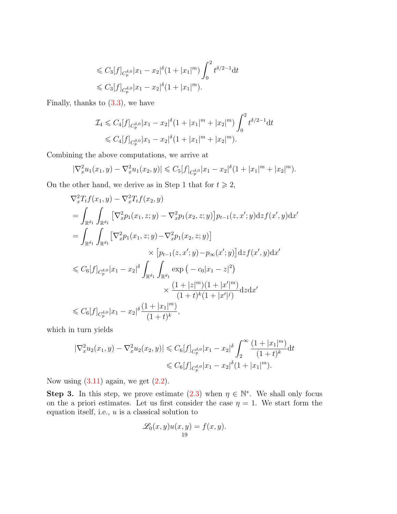$$
\leq C_3[f]_{C_p^{\delta,0}} |x_1 - x_2|^\delta (1 + |x_1|^m) \int_0^2 t^{\delta/2 - 1} dt
$$
  

$$
\leq C_3[f]_{C_p^{\delta,0}} |x_1 - x_2|^\delta (1 + |x_1|^m).
$$

Finally, thanks to  $(3.3)$ , we have

$$
\mathcal{I}_4 \leqslant C_4[f]_{C_p^{\delta,0}} |x_1 - x_2|^\delta (1 + |x_1|^m + |x_2|^m) \int_0^2 t^{\delta/2 - 1} dt
$$
  

$$
\leqslant C_4[f]_{C_p^{\delta,0}} |x_1 - x_2|^\delta (1 + |x_1|^m + |x_2|^m).
$$

Combining the above computations, we arrive at

$$
|\nabla_x^2 u_1(x_1, y) - \nabla_x^2 u_1(x_2, y)| \leq C_5[f]_{C_p^{\delta, 0}} |x_1 - x_2|^{\delta} (1 + |x_1|^m + |x_2|^m).
$$

On the other hand, we derive as in Step 1 that for  $t \geq 2$ ,

$$
\nabla_x^2 T_t f(x_1, y) - \nabla_x^2 T_t f(x_2, y)
$$
\n
$$
= \int_{\mathbb{R}^{d_1}} \int_{\mathbb{R}^{d_1}} \left[ \nabla_x^2 p_1(x_1, z; y) - \nabla_x^2 p_1(x_2, z; y) \right] p_{t-1}(z, x'; y) \, \mathrm{d}z f(x', y) \, \mathrm{d}x'
$$
\n
$$
= \int_{\mathbb{R}^{d_1}} \int_{\mathbb{R}^{d_1}} \left[ \nabla_x^2 p_1(x_1, z; y) - \nabla_x^2 p_1(x_2, z; y) \right] \times \left[ p_{t-1}(z, x'; y) - p_{\infty}(x'; y) \right] \, \mathrm{d}z f(x', y) \, \mathrm{d}x'
$$
\n
$$
\leq C_6 \left[ f \right]_{C_p^{\delta,0}} |x_1 - x_2|^{\delta} \int_{\mathbb{R}^{d_1}} \int_{\mathbb{R}^{d_1}} \exp\left( -c_0 |x_1 - z|^2 \right) \times \frac{\left( 1 + |z|^m \right) \left( 1 + |x'|^m \right)}{\left( 1 + t \right)^k \left( 1 + |x'|^j \right)} \, \mathrm{d}z \, \mathrm{d}x'
$$
\n
$$
\leq C_6 \left[ f \right]_{C_p^{\delta,0}} |x_1 - x_2|^{\delta} \frac{\left( 1 + |x_1|^m \right)}{\left( 1 + t \right)^k},
$$

which in turn yields

$$
\begin{aligned} |\nabla_x^2 u_2(x_1, y) - \nabla_x^2 u_2(x_2, y)| &\le C_6[f]_{C_p^{\delta, 0}} |x_1 - x_2|^\delta \int_2^\infty \frac{(1 + |x_1|^m)}{(1 + t)^k} \mathrm{d}t \\ &\le C_6[f]_{C_p^{\delta, 0}} |x_1 - x_2|^\delta (1 + |x_1|^m). \end{aligned}
$$

Now using  $(3.11)$  again, we get  $(2.2)$ .

Step 3. In this step, we prove estimate [\(2.3\)](#page-7-2) when  $\eta \in \mathbb{N}^*$ . We shall only focus on the a priori estimates. Let us first consider the case  $\eta = 1$ . We start form the equation itself, i.e.,  $u$  is a classical solution to

$$
\mathscr{L}_0(x,y)u(x,y)=f(x,y).
$$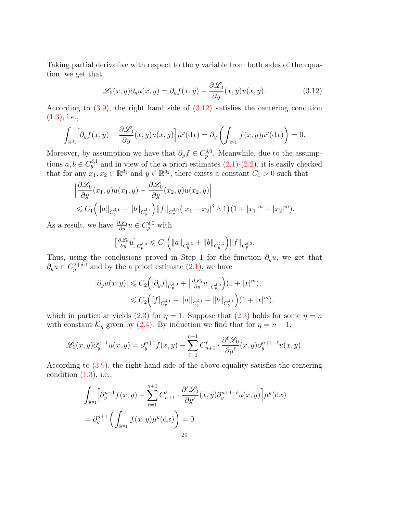Taking partial derivative with respect to the y variable from both sides of the equation, we get that

<span id="page-19-0"></span>
$$
\mathcal{L}_0(x, y)\partial_y u(x, y) = \partial_y f(x, y) - \frac{\partial \mathcal{L}_0}{\partial y}(x, y)u(x, y).
$$
 (3.12)

According to  $(3.9)$ , the right hand side of  $(3.12)$  satisfies the centering condition  $(1.3)$ , i.e.,

$$
\int_{\mathbb{R}^{d_1}} \Bigl[ \partial_y f(x, y) - \frac{\partial \mathscr{L}_0}{\partial y}(x, y) u(x, y) \Bigr] \mu^y(\mathrm{d}x) = \partial_y \left( \int_{\mathbb{R}^{d_1}} f(x, y) \mu^y(\mathrm{d}x) \right) = 0.
$$

Moreover, by assumption we have that  $\partial_y f \in C_p^{\delta,0}$ . Meanwhile, due to the assumptions  $a, b \in C_b^{\delta,1}$  $b_b^{\text{o},1}$  and in view of the a priori estimates  $(2.1)-(2.2)$  $(2.1)-(2.2)$  $(2.1)-(2.2)$ , it is easily checked that for any  $x_1, x_2 \in \mathbb{R}^{d_1}$  and  $y \in \mathbb{R}^{d_2}$ , there exists a constant  $C_1 > 0$  such that

$$
\left| \frac{\partial \mathcal{L}_0}{\partial y}(x_1, y)u(x_1, y) - \frac{\partial \mathcal{L}_0}{\partial y}(x_2, y)u(x_2, y) \right|
$$
  
\$\leq C\_1 \left( \|a\|\_{C\_b^{\delta,1}} + \|b\|\_{C\_b^{\delta,1}} \right) \|f\|\_{C\_p^{\delta,0}} \left( |x\_1 - x\_2|^{\delta} \wedge 1 \right) (1 + |x\_1|^m + |x\_2|^m).

As a result, we have  $\frac{\partial \mathscr{L}_0}{\partial y} u \in C_p^{\delta,0}$  with

$$
\left[\frac{\partial \mathscr{L}_0}{\partial y}u\right]_{C_p^{\delta,0}} \leqslant C_1 \left(\|a\|_{C_b^{\delta,1}} + \|b\|_{C_b^{\delta,1}}\right) \|f\|_{C_p^{\delta,0}}.
$$

Thus, using the conclusions proved in Step 1 for the function  $\partial_y u$ , we get that  $\partial_y u \in C_p^{2+\delta,0}$  and by the a priori estimate  $(2.1)$ , we have

$$
|\partial_y u(x,y)| \leq C_2 \Big( [\partial_y f]_{C_p^{\delta,0}} + \left[ \frac{\partial \mathscr{L}_0}{\partial y} u \right]_{C_p^{\delta,0}} \Big) (1+|x|^m),
$$
  

$$
\leq C_2 \Big( [f]_{C_p^{\delta,1}} + ||a||_{C_b^{\delta,1}} + ||b||_{C_b^{\delta,1}} \Big) (1+|x|^m),
$$

which in particular yields [\(2.3\)](#page-7-2) for  $\eta = 1$ . Suppose that (2.3) holds for some  $\eta = n$ with constant  $\mathcal{K}_\eta$  given by [\(2.4\)](#page-7-0). By induction we find that for  $\eta = n + 1$ ,

$$
\mathscr{L}_0(x,y)\partial_y^{n+1}u(x,y)=\partial_y^{n+1}f(x,y)-\sum_{\ell=1}^{n+1}C_{n+1}^{\ell}\cdot\frac{\partial^{\ell}\mathscr{L}_0}{\partial y^{\ell}}(x,y)\partial_y^{n+1-\ell}u(x,y).
$$

According to [\(3.9\)](#page-12-2), the right hand side of the above equality satisfies the centering condition  $(1.3)$ , i.e.,

$$
\int_{\mathbb{R}^{d_1}} \left[ \partial_y^{n+1} f(x, y) - \sum_{\ell=1}^{n+1} C_{n+1}^{\ell} \cdot \frac{\partial^{\ell} \mathcal{L}_0}{\partial y^{\ell}}(x, y) \partial_y^{n+1-\ell} u(x, y) \right] \mu^y(\mathrm{d}x)
$$

$$
= \partial_y^{n+1} \left( \int_{\mathbb{R}^{d_1}} f(x, y) \mu^y(\mathrm{d}x) \right) = 0.
$$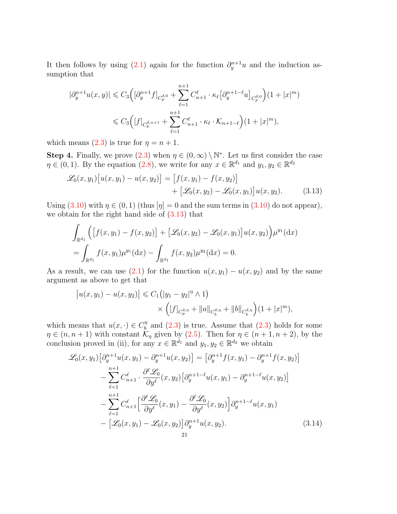It then follows by using [\(2.1\)](#page-6-1) again for the function  $\partial_y^{n+1}u$  and the induction assumption that

$$
|\partial_y^{n+1} u(x,y)| \leq C_3 \Big( [\partial_y^{n+1} f]_{C_p^{\delta,0}} + \sum_{\ell=1}^{n+1} C_{n+1}^{\ell} \cdot \kappa_{\ell} [\partial_y^{n+1-\ell} u]_{C_p^{\delta,0}} \Big) (1+|x|^m)
$$
  

$$
\leq C_3 \Big( [f]_{C_p^{\delta,n+1}} + \sum_{\ell=1}^{n+1} C_{n+1}^{\ell} \cdot \kappa_{\ell} \cdot \mathcal{K}_{n+1-\ell} \Big) (1+|x|^m),
$$

which means [\(2.3\)](#page-7-2) is true for  $\eta = n + 1$ .

**Step 4.** Finally, we prove  $(2.3)$  when  $\eta \in (0, \infty) \setminus \mathbb{N}^*$ . Let us first consider the case  $\eta \in (0,1)$ . By the equation  $(2.8)$ , we write for any  $x \in \mathbb{R}^{d_1}$  and  $y_1, y_2 \in \mathbb{R}^{d_2}$ 

$$
\mathcal{L}_0(x, y_1) [u(x, y_1) - u(x, y_2)] = [f(x, y_1) - f(x, y_2)] + [\mathcal{L}_0(x, y_2) - \mathcal{L}_0(x, y_1)] u(x, y_2).
$$
 (3.13)

Using  $(3.10)$  with  $\eta \in (0,1)$  (thus  $[\eta] = 0$  and the sum terms in  $(3.10)$  do not appear), we obtain for the right hand side of  $(3.13)$  that

<span id="page-20-0"></span>
$$
\int_{\mathbb{R}^{d_1}} \left( \left[ f(x, y_1) - f(x, y_2) \right] + \left[ \mathcal{L}_0(x, y_2) - \mathcal{L}_0(x, y_1) \right] u(x, y_2) \right) \mu^{y_1}(\mathrm{d}x)
$$
\n
$$
= \int_{\mathbb{R}^{d_1}} f(x, y_1) \mu^{y_1}(\mathrm{d}x) - \int_{\mathbb{R}^{d_1}} f(x, y_2) \mu^{y_2}(\mathrm{d}x) = 0.
$$

As a result, we can use [\(2.1\)](#page-6-1) for the function  $u(x, y_1) - u(x, y_2)$  and by the same argument as above to get that

$$
|u(x, y_1) - u(x, y_2)| \le C_1 (|y_1 - y_2|^{\eta} \wedge 1)
$$
  
 
$$
\times \left( [f]_{C_p^{\delta, \eta}} + ||a||_{C_b^{\delta, \eta}} + ||b||_{C_b^{\delta, \eta}} \right) (1 + |x|^m),
$$

which means that  $u(x, \cdot) \in C_h^{\eta}$  $\binom{n}{b}$  and  $(2.3)$  is true. Assume that  $(2.3)$  holds for some  $\eta \in (n, n+1)$  with constant  $\mathcal{K}_{\eta}$  given by [\(2.5\)](#page-7-3). Then for  $\eta \in (n+1, n+2)$ , by the conclusion proved in (ii), for any  $x \in \mathbb{R}^{d_1}$  and  $y_1, y_2 \in \mathbb{R}^{d_2}$  we obtain

<span id="page-20-1"></span>
$$
\mathcal{L}_{0}(x, y_{1}) \left[ \partial_{y}^{n+1} u(x, y_{1}) - \partial_{y}^{n+1} u(x, y_{2}) \right] = \left[ \partial_{y}^{n+1} f(x, y_{1}) - \partial_{y}^{n+1} f(x, y_{2}) \right] \n- \sum_{\ell=1}^{n+1} C_{n+1}^{\ell} \cdot \frac{\partial^{\ell} \mathcal{L}_{0}}{\partial y^{\ell}}(x, y_{2}) \left[ \partial_{y}^{n+1-\ell} u(x, y_{1}) - \partial_{y}^{n+1-\ell} u(x, y_{2}) \right] \n- \sum_{\ell=1}^{n+1} C_{n+1}^{\ell} \left[ \frac{\partial^{\ell} \mathcal{L}_{0}}{\partial y^{\ell}}(x, y_{1}) - \frac{\partial^{\ell} \mathcal{L}_{0}}{\partial y^{\ell}}(x, y_{2}) \right] \partial_{y}^{n+1-\ell} u(x, y_{1}) \n- \left[ \mathcal{L}_{0}(x, y_{1}) - \mathcal{L}_{0}(x, y_{2}) \right] \partial_{y}^{n+1} u(x, y_{2}).
$$
\n(3.14)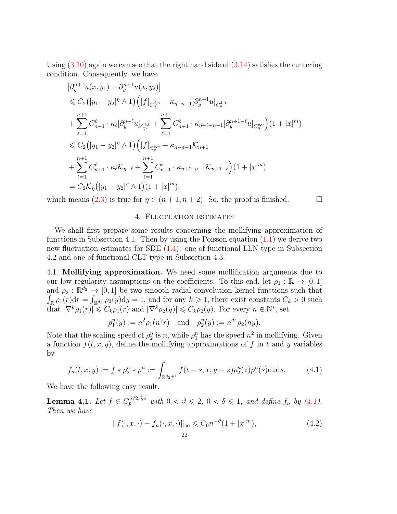Using  $(3.10)$  again we can see that the right hand side of  $(3.14)$  satisfies the centering condition. Consequently, we have

$$
\begin{split}\n&\left|\partial_{y}^{n+1}u(x,y_{1})-\partial_{y}^{n+1}u(x,y_{2})\right| \\
&\leqslant C_{2}\left(|y_{1}-y_{2}|^{\eta}\wedge1\right)\left([f]_{C_{p}^{\delta,\eta}}+\kappa_{\eta-n-1}[\partial_{y}^{n+1}u]_{C_{p}^{\delta,0}}\right.\\&+\sum_{\ell=1}^{n+1}C_{n+1}^{\ell}\cdot\kappa_{\ell}[\partial_{y}^{\eta-\ell}u]_{C_{p}^{\delta,0}}+\sum_{\ell=1}^{n+1}C_{n+1}^{\ell}\cdot\kappa_{\eta+\ell-n-1}[\partial_{y}^{n+1-\ell}u]_{C_{p}^{\delta,0}}\right)(1+|x|^{m})\\&\leqslant C_{2}\left(|y_{1}-y_{2}|^{\eta}\wedge1\right)\left([f]_{C_{p}^{\delta,\eta}}+\kappa_{\eta-n-1}\mathcal{K}_{n+1}\right.\\&\left.+\sum_{\ell=1}^{n+1}C_{n+1}^{\ell}\cdot\kappa_{\ell}\mathcal{K}_{\eta-\ell}+\sum_{\ell=1}^{n+1}C_{n+1}^{\ell}\cdot\kappa_{\eta+\ell-n-1}\mathcal{K}_{n+1-\ell}\right)(1+|x|^{m})\\&=C_{2}\mathcal{K}_{\eta}\left(|y_{1}-y_{2}|^{\eta}\wedge1\right)(1+|x|^{m}),\n\end{split}
$$

which means [\(2.3\)](#page-7-2) is true for  $\eta \in (n+1, n+2)$ . So, the proof is finished.

### 4. Fluctuation estimates

We shall first prepare some results concerning the mollifying approximation of functions in Subsection 4.1. Then by using the Poisson equation  $(1.1)$  we derive two new fluctuation estimates for SDE [\(1.4\)](#page-2-0): one of functional LLN type in Subsection 4.2 and one of functional CLT type in Subsection 4.3.

4.1. Mollifying approximation. We need some mollification arguments due to our low regularity assumptions on the coefficients. To this end, let  $\rho_1 : \mathbb{R} \to [0,1]$ and  $\rho_2 : \mathbb{R}^{d_2} \to [0,1]$  be two smooth radial convolution kernel functions such that  $\int_{\mathbb{R}} \rho_1(r) dr = \int_{\mathbb{R}^{d_2}} \rho_2(y) dy = 1$ , and for any  $k \geq 1$ , there exist constants  $C_k > 0$  such that  $|\nabla^k \rho_1(r)| \leqslant C_k \rho_1(r)$  and  $|\nabla^k \rho_2(y)| \leqslant C_k \rho_2(y)$ . For every  $n \in \mathbb{N}^*$ , set

$$
\rho_1^n(y) := n^2 \rho_1(n^2 r)
$$
 and  $\rho_2^n(y) := n^{d_2} \rho_2(ny)$ .

Note that the scaling speed of  $\rho_2^n$  is n, while  $\rho_1^n$  has the speed  $n^2$  in mollifying. Given a function  $f(t, x, y)$ , define the mollifying approximations of f in t and y variables by

$$
f_n(t, x, y) := f * \rho_2^n * \rho_1^n := \int_{\mathbb{R}^{d_2 + 1}} f(t - s, x, y - z) \rho_2^n(z) \rho_1^n(s) dz ds.
$$
 (4.1)

We have the following easy result.

**Lemma 4.1.** Let  $f \in C_p^{\vartheta/2, \delta, \vartheta}$  with  $0 < \vartheta \leqslant 2, 0 < \delta \leqslant 1$ , and define  $f_n$  by [\(4.1\)](#page-21-0). Then we have

<span id="page-21-1"></span><span id="page-21-0"></span>
$$
||f(\cdot, x, \cdot) - f_n(\cdot, x, \cdot)||_{\infty} \leq C_0 n^{-\vartheta} (1 + |x|^m),
$$
\n(4.2)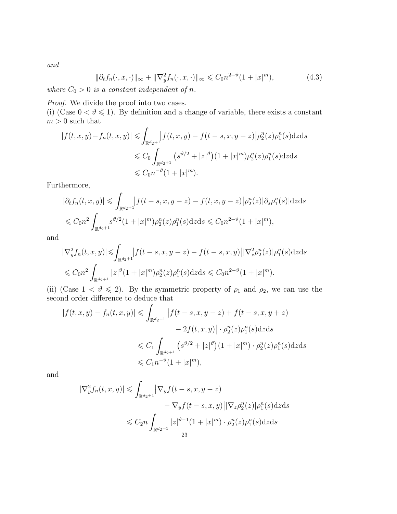and

<span id="page-22-0"></span>
$$
\|\partial_t f_n(\cdot, x, \cdot)\|_{\infty} + \|\nabla_y^2 f_n(\cdot, x, \cdot)\|_{\infty} \leq C_0 n^{2-\vartheta} (1+|x|^m),\tag{4.3}
$$

where  $C_0 > 0$  is a constant independent of n.

Proof. We divide the proof into two cases.

(i) (Case  $0 < \vartheta \le 1$ ). By definition and a change of variable, there exists a constant  $m>0$  such that

$$
|f(t, x, y) - f_n(t, x, y)| \leq \int_{\mathbb{R}^{d_2+1}} |f(t, x, y) - f(t - s, x, y - z)| \rho_2^n(z) \rho_1^n(s) dz ds
$$
  

$$
\leq C_0 \int_{\mathbb{R}^{d_2+1}} (s^{\vartheta/2} + |z|^{\vartheta}) (1 + |x|^m) \rho_2^n(z) \rho_1^n(s) dz ds
$$
  

$$
\leq C_0 n^{-\vartheta} (1 + |x|^m).
$$

Furthermore,

$$
|\partial_t f_n(t, x, y)| \leq \int_{\mathbb{R}^{d_2+1}} |f(t - s, x, y - z) - f(t, x, y - z)| \rho_2^n(z) |\partial_s \rho_1^n(s)| \, dz \, ds
$$
  

$$
\leq C_0 n^2 \int_{\mathbb{R}^{d_2+1}} s^{\vartheta/2} (1 + |x|^m) \rho_2^n(z) \rho_1^n(s) \, dz \, ds \leq C_0 n^{2-\vartheta} (1 + |x|^m),
$$

and

$$
\begin{aligned} |\nabla_y^2 f_n(t, x, y)| \leqslant & \int_{\mathbb{R}^{d_2+1}} \left| f(t - s, x, y - z) - f(t - s, x, y) \right| |\nabla_z^2 \rho_2^n(z)| \rho_1^n(s) \, \mathrm{d}z \, \mathrm{d}s \\ \leqslant & C_0 n^2 \int_{\mathbb{R}^{d_2+1}} |z|^{\vartheta} (1 + |x|^m) \rho_2^n(z) \rho_1^n(s) \, \mathrm{d}z \, \mathrm{d}s \leqslant C_0 n^{2-\vartheta} (1 + |x|^m). \end{aligned}
$$

(ii) (Case  $1 < \vartheta \le 2$ ). By the symmetric property of  $\rho_1$  and  $\rho_2$ , we can use the second order difference to deduce that

$$
|f(t, x, y) - f_n(t, x, y)| \leq \int_{\mathbb{R}^{d_2+1}} |f(t - s, x, y - z) + f(t - s, x, y + z)|
$$
  

$$
- 2f(t, x, y)| \cdot \rho_2^n(z)\rho_1^n(s) \,dz \,ds
$$
  

$$
\leq C_1 \int_{\mathbb{R}^{d_2+1}} (s^{\vartheta/2} + |z|^{\vartheta}) (1 + |x|^m) \cdot \rho_2^n(z)\rho_1^n(s) \,dz \,ds
$$
  

$$
\leq C_1 n^{-\vartheta} (1 + |x|^m),
$$

and

$$
\begin{aligned} |\nabla_y^2 f_n(t, x, y)| &\leq \int_{\mathbb{R}^{d_2+1}} \left| \nabla_y f(t - s, x, y - z) - \nabla_y f(t - s, x, y) \right| |\nabla_z \rho_2^n(z)| \rho_1^n(s) \, \mathrm{d}z \, \mathrm{d}s \\ &\leq C_2 n \int_{\mathbb{R}^{d_2+1}} |z|^{\vartheta - 1} (1 + |x|^m) \cdot \rho_2^n(z) \rho_1^n(s) \, \mathrm{d}z \, \mathrm{d}s \\ &\geq 3 \end{aligned}
$$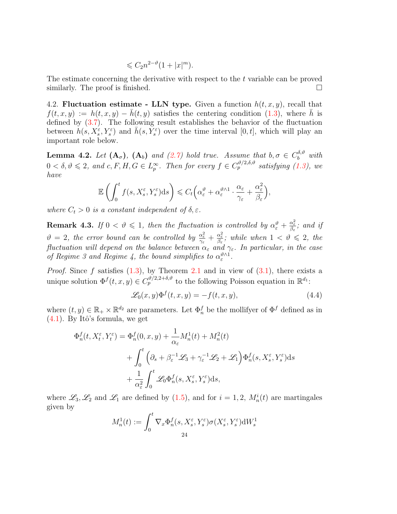$$
\leqslant C_2 n^{2-\vartheta} (1+|x|^m).
$$

The estimate concerning the derivative with respect to the t variable can be proved similarly. The proof is finished.

4.2. Fluctuation estimate - LLN type. Given a function  $h(t, x, y)$ , recall that  $f(t, x, y) := h(t, x, y) - \bar{h}(t, y)$  satisfies the centering condition [\(1.3\)](#page-1-0), where  $\bar{h}$  is defined by [\(3.7\)](#page-12-3). The following result establishes the behavior of the fluctuation between  $h(s, X_s^{\varepsilon}, Y_s^{\varepsilon})$  and  $\bar{h}(s, Y_s^{\varepsilon})$  over the time interval  $[0, t]$ , which will play an important role below.

<span id="page-23-0"></span>**Lemma 4.2.** Let  $(A_{\sigma})$ ,  $(A_{b})$  and  $(2.7)$  hold true. Assume that  $b, \sigma \in C_b^{\delta, \vartheta}$  with  $0 < \delta, \vartheta \leqslant 2$ , and  $c, F, H, G \in L_p^{\infty}$ . Then for every  $f \in C_p^{\vartheta/2, \delta, \vartheta}$  satisfying [\(1.3\)](#page-1-0), we have

$$
\mathbb{E}\left(\int_0^t f(s,X_s^{\varepsilon},Y_s^{\varepsilon})ds\right) \leqslant C_t\Big(\alpha_{\varepsilon}^{\vartheta}+\alpha_{\varepsilon}^{\vartheta\wedge 1}\cdot\frac{\alpha_{\varepsilon}}{\gamma_{\varepsilon}}+\frac{\alpha_{\varepsilon}^2}{\beta_{\varepsilon}}\Big),
$$

where  $C_t > 0$  is a constant independent of  $\delta, \varepsilon$ .

**Remark 4.3.** If  $0 < \vartheta \leq 1$ , then the fluctuation is controlled by  $\alpha_{\varepsilon}^{\vartheta} + \frac{\alpha_{\varepsilon}^2}{\beta_{\varepsilon}}$ ; and if  $\vartheta = 2$ , the error bound can be controlled by  $\frac{\alpha_{\varepsilon}^2}{\gamma_{\varepsilon}} + \frac{\alpha_{\varepsilon}^2}{\beta_{\varepsilon}}$ ; while when  $1 < \vartheta \leq 2$ , the fluctuation will depend on the balance between  $\alpha_{\varepsilon}$  and  $\gamma_{\varepsilon}$ . In particular, in the case of Regime 3 and Regime 4, the bound simplifies to  $\alpha_{\varepsilon}^{\vartheta \wedge 1}$ .

*Proof.* Since f satisfies  $(1.3)$ , by Theorem [2.1](#page-6-0) and in view of  $(3.1)$ , there exists a unique solution  $\Phi^f(t, x, y) \in C_p^{\vartheta/2, 2+\delta, \vartheta}$  to the following Poisson equation in  $\mathbb{R}^{d_1}$ :

<span id="page-23-1"></span>
$$
\mathcal{L}_0(x, y)\Phi^f(t, x, y) = -f(t, x, y),\tag{4.4}
$$

where  $(t, y) \in \mathbb{R}_+ \times \mathbb{R}^{d_2}$  are parameters. Let  $\Phi_n^f$  be the mollifyer of  $\Phi^f$  defined as in  $(4.1)$ . By Itô's formula, we get

$$
\Phi_n^f(t, X_t^{\varepsilon}, Y_t^{\varepsilon}) = \Phi_n^f(0, x, y) + \frac{1}{\alpha_{\varepsilon}} M_n^1(t) + M_n^2(t) \n+ \int_0^t \left( \partial_s + \beta_{\varepsilon}^{-1} \mathcal{L}_3 + \gamma_{\varepsilon}^{-1} \mathcal{L}_2 + \mathcal{L}_1 \right) \Phi_n^f(s, X_s^{\varepsilon}, Y_s^{\varepsilon}) ds \n+ \frac{1}{\alpha_{\varepsilon}^2} \int_0^t \mathcal{L}_0 \Phi_n^f(s, X_s^{\varepsilon}, Y_s^{\varepsilon}) ds,
$$

where  $\mathscr{L}_3, \mathscr{L}_2$  and  $\mathscr{L}_1$  are defined by  $(1.5)$ , and for  $i = 1, 2, M_n^i(t)$  are martingales given by

$$
M_n^1(t) := \int_0^t \nabla_x \Phi_n^f(s,X_s^\varepsilon,Y_s^\varepsilon) \sigma(X_s^\varepsilon,Y_s^\varepsilon) \mathrm{d} W_s^1
$$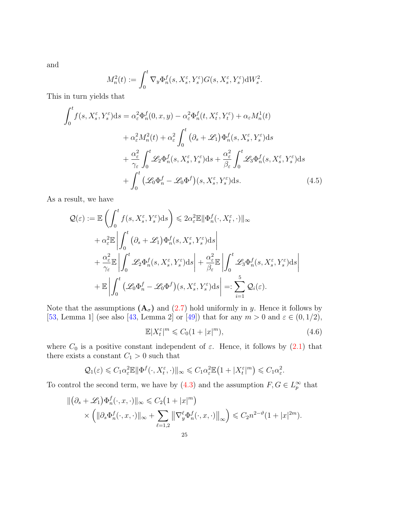and

$$
M_n^2(t) := \int_0^t \nabla_y \Phi_n^f(s,X_s^\varepsilon,Y_s^\varepsilon) G(s,X_s^\varepsilon,Y_s^\varepsilon) \mathrm{d} W_s^2.
$$

This in turn yields that

$$
\int_{0}^{t} f(s, X_{s}^{\varepsilon}, Y_{s}^{\varepsilon}) ds = \alpha_{\varepsilon}^{2} \Phi_{n}^{f}(0, x, y) - \alpha_{\varepsilon}^{2} \Phi_{n}^{f}(t, X_{t}^{\varepsilon}, Y_{t}^{\varepsilon}) + \alpha_{\varepsilon} M_{n}^{1}(t) \n+ \alpha_{\varepsilon}^{2} M_{n}^{2}(t) + \alpha_{\varepsilon}^{2} \int_{0}^{t} (\partial_{s} + \mathcal{L}_{1}) \Phi_{n}^{f}(s, X_{s}^{\varepsilon}, Y_{s}^{\varepsilon}) ds \n+ \frac{\alpha_{\varepsilon}^{2}}{\gamma_{\varepsilon}} \int_{0}^{t} \mathcal{L}_{2} \Phi_{n}^{f}(s, X_{s}^{\varepsilon}, Y_{s}^{\varepsilon}) ds + \frac{\alpha_{\varepsilon}^{2}}{\beta_{\varepsilon}} \int_{0}^{t} \mathcal{L}_{3} \Phi_{n}^{f}(s, X_{s}^{\varepsilon}, Y_{s}^{\varepsilon}) ds \n+ \int_{0}^{t} (\mathcal{L}_{0} \Phi_{n}^{f} - \mathcal{L}_{0} \Phi^{f})(s, X_{s}^{\varepsilon}, Y_{s}^{\varepsilon}) ds.
$$
\n(4.5)

As a result, we have

$$
\begin{split} \mathcal{Q}(\varepsilon) &:= \mathbb{E}\left(\int_0^t f(s,X_s^\varepsilon,Y_s^\varepsilon)\mathrm{d}s\right) \leqslant 2\alpha_\varepsilon^2 \mathbb{E}\|\Phi_n^f(\cdot,X_t^\varepsilon,\cdot)\|_\infty\\ &+ \alpha_\varepsilon^2 \mathbb{E}\left|\int_0^t \left(\partial_s + \mathscr{L}_1\right)\Phi_n^f(s,X_s^\varepsilon,Y_s^\varepsilon)\mathrm{d}s\right|\\ &+ \frac{\alpha_\varepsilon^2}{\gamma_\varepsilon} \mathbb{E}\left|\int_0^t \mathscr{L}_2\Phi_n^f(s,X_s^\varepsilon,Y_s^\varepsilon)\mathrm{d}s\right| + \frac{\alpha_\varepsilon^2}{\beta_\varepsilon} \mathbb{E}\left|\int_0^t \mathscr{L}_3\Phi_n^f(s,X_s^\varepsilon,Y_s^\varepsilon)\mathrm{d}s\right|\\ &+ \mathbb{E}\left|\int_0^t \left(\mathscr{L}_0\Phi_n^f - \mathscr{L}_0\Phi^f\right)(s,X_s^\varepsilon,Y_s^\varepsilon)\mathrm{d}s\right| =: \sum_{i=1}^5 \mathcal{Q}_i(\varepsilon). \end{split}
$$

Note that the assumptions  $(A_{\sigma})$  and  $(2.7)$  hold uniformly in y. Hence it follows by [\[53,](#page-37-10) Lemma 1] (see also [\[43,](#page-36-4) Lemma 2] or [\[49\]](#page-37-2)) that for any  $m > 0$  and  $\varepsilon \in (0, 1/2)$ ,

<span id="page-24-1"></span><span id="page-24-0"></span>
$$
\mathbb{E}|X_t^{\varepsilon}|^m \leqslant C_0(1+|x|^m),\tag{4.6}
$$

where  $C_0$  is a positive constant independent of  $\varepsilon$ . Hence, it follows by  $(2.1)$  that there exists a constant  $C_1 > 0$  such that

$$
\mathcal{Q}_1(\varepsilon) \leqslant C_1 \alpha_{\varepsilon}^2 \mathbb{E} \|\Phi^f(\cdot, X_t^{\varepsilon}, \cdot)\|_{\infty} \leqslant C_1 \alpha_{\varepsilon}^2 \mathbb{E} \left(1 + |X_t^{\varepsilon}|^m\right) \leqslant C_1 \alpha_{\varepsilon}^2.
$$

To control the second term, we have by  $(4.3)$  and the assumption  $F, G \in L_p^{\infty}$  that

$$
\begin{aligned} \|\big(\partial_s + \mathscr{L}_1\big) \Phi_n^f(\cdot, x, \cdot)\|_{\infty} &\leq C_2 \big(1 + |x|^m\big) \\ &\times \left(\|\partial_s \Phi_n^f(\cdot, x, \cdot)\|_{\infty} + \sum_{\ell=1,2} \left\|\nabla_y^{\ell} \Phi_n^f(\cdot, x, \cdot)\right\|_{\infty}\right) \leq C_2 n^{2-\vartheta} (1 + |x|^{2m}). \end{aligned}
$$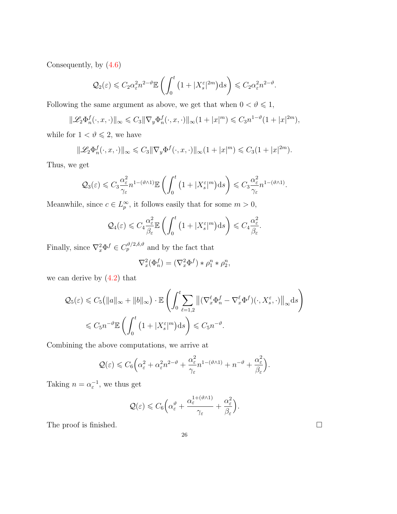Consequently, by [\(4.6\)](#page-24-0)

$$
\mathcal{Q}_2(\varepsilon) \leqslant C_2 \alpha_{\varepsilon}^2 n^{2-\vartheta} \mathbb{E}\left(\int_0^t \left(1+|X_s^{\varepsilon}|^{2m}\right) \mathrm{d} s\right) \leqslant C_2 \alpha_{\varepsilon}^2 n^{2-\vartheta}.
$$

Following the same argument as above, we get that when  $0<\vartheta\leqslant1,$ 

$$
\|\mathscr{L}_2\Phi_n^f(\cdot,x,\cdot)\|_\infty \leqslant C_3 \|\nabla_y\Phi_n^f(\cdot,x,\cdot)\|_\infty (1+|x|^m) \leqslant C_3 n^{1-\vartheta} (1+|x|^{2m}),
$$

while for  $1<\vartheta\leqslant2,$  we have

$$
\|\mathscr{L}_2\Phi_n^f(\cdot,x,\cdot)\|_\infty \leqslant C_3\|\nabla_y\Phi^f(\cdot,x,\cdot)\|_\infty(1+|x|^m) \leqslant C_3(1+|x|^{2m}).
$$

Thus, we get

$$
\mathcal{Q}_3(\varepsilon) \leqslant C_3 \frac{\alpha_{\varepsilon}^2}{\gamma_{\varepsilon}} n^{1-(\vartheta \wedge 1)} \mathbb{E} \left( \int_0^t \left( 1 + |X_s^{\varepsilon}|^m \right) ds \right) \leqslant C_3 \frac{\alpha_{\varepsilon}^2}{\gamma_{\varepsilon}} n^{1-(\vartheta \wedge 1)}.
$$

Meanwhile, since  $c \in L_p^{\infty}$ , it follows easily that for some  $m > 0$ ,

$$
\mathcal{Q}_4(\varepsilon) \leqslant C_4 \frac{\alpha_{\varepsilon}^2}{\beta_{\varepsilon}} \mathbb{E}\left(\int_0^t \left(1 + |X_s^{\varepsilon}|^m\right) \mathrm{d} s\right) \leqslant C_4 \frac{\alpha_{\varepsilon}^2}{\beta_{\varepsilon}}.
$$

Finally, since  $\nabla_x^2 \Phi^f \in C_p^{\vartheta/2, \delta, \vartheta}$  and by the fact that

$$
\nabla_x^2(\Phi_n^f) = (\nabla_x^2 \Phi^f) * \rho_1^n * \rho_2^n,
$$

we can derive by  $(4.2)$  that

$$
\mathcal{Q}_5(\varepsilon) \leq C_5 \left( \|a\|_{\infty} + \|b\|_{\infty} \right) \cdot \mathbb{E} \left( \int_0^t \sum_{\ell=1,2} \left\| (\nabla_x^{\ell} \Phi_n^f - \nabla_x^{\ell} \Phi^f)(\cdot, X_s^{\varepsilon}, \cdot) \right\|_{\infty} \mathrm{d}s \right)
$$
  

$$
\leq C_5 n^{-\vartheta} \mathbb{E} \left( \int_0^t \left( 1 + |X_s^{\varepsilon}|^m \right) \mathrm{d}s \right) \leq C_5 n^{-\vartheta}.
$$

Combining the above computations, we arrive at

$$
\mathcal{Q}(\varepsilon) \leqslant C_6 \Big( \alpha_{\varepsilon}^2 + \alpha_{\varepsilon}^2 n^{2-\vartheta} + \frac{\alpha_{\varepsilon}^2}{\gamma_{\varepsilon}} n^{1-(\vartheta \wedge 1)} + n^{-\vartheta} + \frac{\alpha_{\varepsilon}^2}{\beta_{\varepsilon}} \Big).
$$

Taking  $n = \alpha_{\varepsilon}^{-1}$ , we thus get

$$
\mathcal{Q}(\varepsilon) \leqslant C_6 \Big( \alpha_\varepsilon^\vartheta + \frac{\alpha_\varepsilon^{1+(\vartheta \wedge 1)}}{\gamma_\varepsilon} + \frac{\alpha_\varepsilon^2}{\beta_\varepsilon} \Big).
$$

The proof is finished.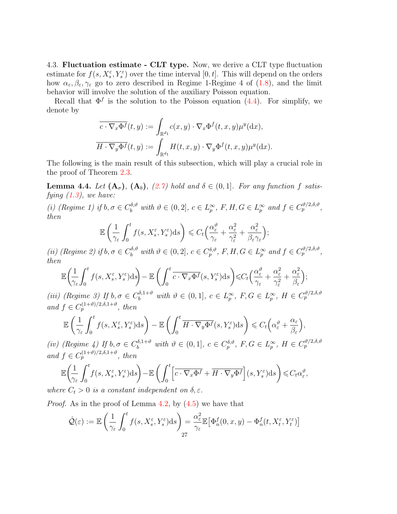4.3. Fluctuation estimate - CLT type. Now, we derive a CLT type fluctuation estimate for  $f(s, X_s^{\varepsilon}, Y_s^{\varepsilon})$  over the time interval  $[0, t]$ . This will depend on the orders how  $\alpha_{\varepsilon}, \beta_{\varepsilon}, \gamma_{\varepsilon}$  go to zero described in Regime 1-Regime 4 of [\(1.8\)](#page-4-0), and the limit behavior will involve the solution of the auxiliary Poisson equation.

Recall that  $\Phi^f$  is the solution to the Poisson equation [\(4.4\)](#page-23-1). For simplify, we denote by

$$
\overline{c \cdot \nabla_x \Phi^f}(t, y) := \int_{\mathbb{R}^{d_1}} c(x, y) \cdot \nabla_x \Phi^f(t, x, y) \mu^y(\mathrm{d}x),
$$

$$
\overline{H \cdot \nabla_y \Phi^f}(t, y) := \int_{\mathbb{R}^{d_1}} H(t, x, y) \cdot \nabla_y \Phi^f(t, x, y) \mu^y(\mathrm{d}x).
$$

The following is the main result of this subsection, which will play a crucial role in the proof of Theorem [2.3.](#page-9-0)

<span id="page-26-0"></span>**Lemma 4.4.** Let  $(A_{\sigma})$ ,  $(A_{b})$ ,  $(2.7)$  hold and  $\delta \in (0,1]$ . For any function f satisfying  $(1.3)$ , we have:

(i) (Regime 1) if  $b, \sigma \in C_b^{\delta, \vartheta}$  with  $\vartheta \in (0, 2], c \in L_p^{\infty}, F, H, G \in L_p^{\infty}$  and  $f \in C_p^{\vartheta/2, \delta, \vartheta}$ , then

$$
\mathbb{E}\left(\frac{1}{\gamma_{\varepsilon}}\int_{0}^{t}f(s,X_{s}^{\varepsilon},Y_{s}^{\varepsilon})\mathrm{d}s\right)\leqslant C_{t}\left(\frac{\alpha_{\varepsilon}^{\vartheta}}{\gamma_{\varepsilon}}+\frac{\alpha_{\varepsilon}^{2}}{\gamma_{\varepsilon}^{2}}+\frac{\alpha_{\varepsilon}^{2}}{\beta_{\varepsilon}\gamma_{\varepsilon}}\right);
$$

(ii) (Regime 2) if  $b, \sigma \in C_b^{\delta, \vartheta}$  with  $\vartheta \in (0, 2], c \in C_p^{\delta, \vartheta}, F, H, G \in L_p^{\infty}$  and  $f \in C_p^{\vartheta/2, \delta, \vartheta}$ , then

$$
\mathbb{E}\left(\frac{1}{\gamma_{\varepsilon}}\int_{0}^{t}f(s,X_{s}^{\varepsilon},Y_{s}^{\varepsilon})\mathrm{d}s\right)-\mathbb{E}\left(\int_{0}^{t}\overline{c\cdot\nabla_{x}\Phi^{f}}(s,Y_{s}^{\varepsilon})\mathrm{d}s\right)\leqslant C_{t}\left(\frac{\alpha_{\varepsilon}^{\vartheta}}{\gamma_{\varepsilon}}+\frac{\alpha_{\varepsilon}^{2}}{\gamma_{\varepsilon}^{2}}+\frac{\alpha_{\varepsilon}^{2}}{\beta_{\varepsilon}}\right);
$$

(iii) (Regime 3) If  $b, \sigma \in C_b^{\delta, 1+\vartheta}$  with  $\vartheta \in (0,1], c \in L_p^{\infty}, F, G \in L_p^{\infty}, H \in C_p^{\vartheta/2, \delta, \vartheta}$ and  $f \in C_p^{(1+\vartheta)/2,\delta,1+\vartheta}$ , then

$$
\mathbb{E}\left(\frac{1}{\gamma_{\varepsilon}}\int_{0}^{t}f(s,X_{s}^{\varepsilon},Y_{s}^{\varepsilon})\mathrm{d}s\right)-\mathbb{E}\left(\int_{0}^{t}\overline{H\cdot\nabla_{y}\Phi^{f}}(s,Y_{s}^{\varepsilon})\mathrm{d}s\right)\leqslant C_{t}\left(\alpha_{\varepsilon}^{\vartheta}+\frac{\alpha_{\varepsilon}}{\beta_{\varepsilon}}\right),
$$

(iv) (Regime 4) If  $b, \sigma \in C_b^{\delta, 1+\vartheta}$  with  $\vartheta \in (0, 1], c \in C_p^{\delta, \vartheta}, F, G \in L_p^{\infty}, H \in C_p^{\vartheta/2, \delta, \vartheta}$ and  $f \in C_p^{(1+\vartheta)/2,\delta,1+\vartheta}$ , then

$$
\mathbb{E}\left(\frac{1}{\gamma_{\varepsilon}}\int_{0}^{t}f(s,X_{s}^{\varepsilon},Y_{s}^{\varepsilon})\mathrm{d}s\right)-\mathbb{E}\left(\int_{0}^{t}\left[\overline{c\cdot\nabla_{x}\Phi^{f}}+\overline{H\cdot\nabla_{y}\Phi^{f}}\right](s,Y_{s}^{\varepsilon})\mathrm{d}s\right)\leqslant C_{t}\alpha_{\varepsilon}^{\vartheta},
$$

where  $C_t > 0$  is a constant independent on  $\delta, \varepsilon$ .

*Proof.* As in the proof of Lemma [4.2,](#page-23-0) by  $(4.5)$  we have that

$$
\hat{\mathcal{Q}}(\varepsilon) := \mathbb{E}\left(\frac{1}{\gamma_{\varepsilon}} \int_0^t f(s, X_s^{\varepsilon}, Y_s^{\varepsilon}) ds\right) = \frac{\alpha_{\varepsilon}^2}{\gamma_{\varepsilon}} \mathbb{E}\big[\Phi_n^f(0, x, y) - \Phi_n^f(t, X_t^{\varepsilon}, Y_t^{\varepsilon})\big]
$$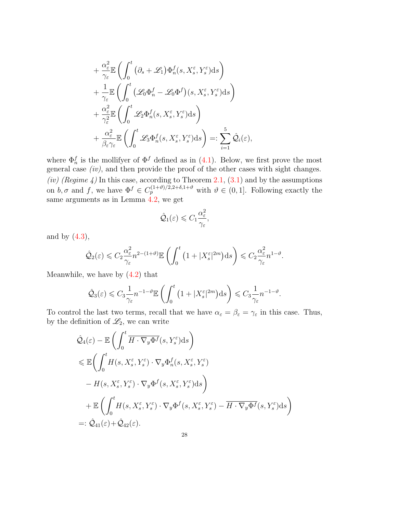$$
\begin{split} &+ \frac{\alpha_\varepsilon^2}{\gamma_\varepsilon} \mathbb{E} \left( \int_0^t \left( \partial_s + \mathscr{L}_1 \right) & \Phi_n^f(s,X_s^\varepsilon,Y_s^\varepsilon) \mathrm{d}s \right) \\ &+ \frac{1}{\gamma_\varepsilon} \mathbb{E} \left( \int_0^t \left( \mathscr{L}_0 \Phi_n^f - \mathscr{L}_0 \Phi^f \right) (s,X_s^\varepsilon,Y_s^\varepsilon) \mathrm{d}s \right) \\ &+ \frac{\alpha_\varepsilon^2}{\gamma_\varepsilon^2} \mathbb{E} \left( \int_0^t \mathscr{L}_2 \Phi_n^f(s,X_s^\varepsilon,Y_s^\varepsilon) \mathrm{d}s \right) \\ &+ \frac{\alpha_\varepsilon^2}{\beta_\varepsilon \gamma_\varepsilon} \mathbb{E} \left( \int_0^t \mathscr{L}_3 \Phi_n^f(s,X_s^\varepsilon,Y_s^\varepsilon) \mathrm{d}s \right) =: \sum_{i=1}^5 \hat{\mathcal{Q}}_i(\varepsilon), \end{split}
$$

where  $\Phi_n^f$  is the mollifyer of  $\Phi^f$  defined as in [\(4.1\)](#page-21-0). Below, we first prove the most general case  $(iv)$ , and then provide the proof of the other cases with sight changes. (iv) (Regime 4) In this case, according to Theorem [2.1,](#page-6-0)  $(3.1)$  and by the assumptions on  $b, \sigma$  and f, we have  $\Phi^f \in C_p^{(1+\vartheta)/2,2+\delta,1+\vartheta}$  with  $\vartheta \in (0,1]$ . Following exactly the same arguments as in Lemma [4.2,](#page-23-0) we get

$$
\hat{\mathcal{Q}}_1(\varepsilon) \leqslant C_1 \frac{\alpha_{\varepsilon}^2}{\gamma_{\varepsilon}},
$$

and by  $(4.3)$ ,

$$
\hat{\mathcal{Q}}_2(\varepsilon) \leqslant C_2 \frac{\alpha_{\varepsilon}^2}{\gamma_{\varepsilon}} n^{2-(1+\vartheta)} \mathbb{E}\left(\int_0^t \left(1+|X_{s}^{\varepsilon}|^{2m}\right) ds\right) \leqslant C_2 \frac{\alpha_{\varepsilon}^2}{\gamma_{\varepsilon}} n^{1-\vartheta}.
$$

Meanwhile, we have by [\(4.2\)](#page-21-1) that

$$
\hat{\mathcal{Q}}_3(\varepsilon) \leqslant C_3 \frac{1}{\gamma_{\varepsilon}} n^{-1-\vartheta} \mathbb{E}\left(\int_0^t \left(1+|X_s^{\varepsilon}|^{2m}\right) ds\right) \leqslant C_3 \frac{1}{\gamma_{\varepsilon}} n^{-1-\vartheta}.
$$

To control the last two terms, recall that we have  $\alpha_{\varepsilon} = \beta_{\varepsilon} = \gamma_{\varepsilon}$  in this case. Thus, by the definition of  $\mathcal{L}_2$ , we can write

$$
\hat{\mathcal{Q}}_4(\varepsilon) - \mathbb{E}\left(\int_0^t \overline{H} \cdot \nabla_y \Phi^f(s, Y_s^{\varepsilon}) ds\right)
$$
\n
$$
\leq \mathbb{E}\left(\int_0^t H(s, X_s^{\varepsilon}, Y_s^{\varepsilon}) \cdot \nabla_y \Phi^f_n(s, X_s^{\varepsilon}, Y_s^{\varepsilon})
$$
\n
$$
- H(s, X_s^{\varepsilon}, Y_s^{\varepsilon}) \cdot \nabla_y \Phi^f(s, X_s^{\varepsilon}, Y_s^{\varepsilon}) ds\right)
$$
\n
$$
+ \mathbb{E}\left(\int_0^t H(s, X_s^{\varepsilon}, Y_s^{\varepsilon}) \cdot \nabla_y \Phi^f(s, X_s^{\varepsilon}, Y_s^{\varepsilon}) - \overline{H} \cdot \nabla_y \Phi^f(s, Y_s^{\varepsilon}) ds\right)
$$
\n
$$
=:\hat{\mathcal{Q}}_{41}(\varepsilon) + \hat{\mathcal{Q}}_{42}(\varepsilon).
$$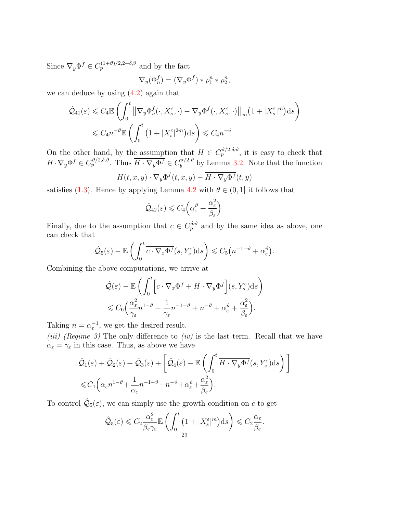Since  $\nabla_y \Phi^f \in C_p^{(1+\vartheta)/2,2+\delta,\vartheta}$  and by the fact

$$
\nabla_y(\Phi_n^f) = (\nabla_y \Phi^f) * \rho_1^n * \rho_2^n,
$$

we can deduce by using [\(4.2\)](#page-21-1) again that

$$
\hat{\mathcal{Q}}_{41}(\varepsilon) \leq C_4 \mathbb{E} \left( \int_0^t \left\| \nabla_y \Phi_n^f(\cdot, X_s^{\varepsilon}, \cdot) - \nabla_y \Phi^f(\cdot, X_s^{\varepsilon}, \cdot) \right\|_{\infty} \left( 1 + |X_s^{\varepsilon}|^m \right) ds \right)
$$
  

$$
\leq C_4 n^{-\vartheta} \mathbb{E} \left( \int_0^t \left( 1 + |X_s^{\varepsilon}|^{2m} \right) ds \right) \leq C_4 n^{-\vartheta}.
$$

On the other hand, by the assumption that  $H \in C_p^{\vartheta/2,\delta,\vartheta}$ , it is easy to check that  $H \cdot \nabla_y \Phi^f \in C_p^{\vartheta/2, \delta, \vartheta}$ . Thus  $\overline{H \cdot \nabla_y \Phi^f} \in C_b^{\vartheta/2, \vartheta}$  $b^{(v/2,v)}$  by Lemma [3.2.](#page-12-0) Note that the function

$$
H(t, x, y) \cdot \nabla_y \Phi^f(t, x, y) - \overline{H \cdot \nabla_y \Phi^f}(t, y)
$$

satisfies [\(1.3\)](#page-1-0). Hence by applying Lemma [4.2](#page-23-0) with  $\theta \in (0, 1]$  it follows that

$$
\hat{Q}_{42}(\varepsilon) \leqslant C_4 \Big( \alpha_{\varepsilon}^{\vartheta} + \frac{\alpha_{\varepsilon}^2}{\beta_{\varepsilon}} \Big).
$$

Finally, due to the assumption that  $c \in C_p^{\delta,\vartheta}$  and by the same idea as above, one can check that

$$
\hat{\mathcal{Q}}_5(\varepsilon)-\mathbb{E}\left(\int_0^t \overline{c\cdot\nabla_x\Phi^f}(s,Y_s^{\varepsilon})\mathrm{d}s\right)\leqslant C_5\big(n^{-1-\vartheta}+\alpha_{\varepsilon}^{\vartheta}\big).
$$

Combining the above computations, we arrive at

$$
\hat{\mathcal{Q}}(\varepsilon) - \mathbb{E}\left(\int_0^t \left[\overline{c\cdot\nabla_x \Phi^f} + \overline{H\cdot\nabla_y \Phi^f}\right](s, Y_s^{\varepsilon})ds\right) \leq C_6 \left(\frac{\alpha_{\varepsilon}^2}{\gamma_{\varepsilon}} n^{1-\vartheta} + \frac{1}{\gamma_{\varepsilon}} n^{-1-\vartheta} + n^{-\vartheta} + \alpha_{\varepsilon}^{\vartheta} + \frac{\alpha_{\varepsilon}^2}{\beta_{\varepsilon}}\right).
$$

Taking  $n = \alpha_{\varepsilon}^{-1}$ , we get the desired result.

(iii) (Regime 3) The only difference to (iv) is the last term. Recall that we have  $\alpha_{\varepsilon} = \gamma_{\varepsilon}$  in this case. Thus, as above we have

$$
\hat{\mathcal{Q}}_1(\varepsilon) + \hat{\mathcal{Q}}_2(\varepsilon) + \hat{\mathcal{Q}}_3(\varepsilon) + \left[ \hat{\mathcal{Q}}_4(\varepsilon) - \mathbb{E}\left( \int_0^t \overline{H \cdot \nabla_y \Phi^f}(s, Y_s^{\varepsilon}) ds \right) \right]
$$
  
\$\leq C\_1 \left( \alpha\_{\varepsilon} n^{1-\vartheta} + \frac{1}{\alpha\_{\varepsilon}} n^{-1-\vartheta} + n^{-\vartheta} + \alpha\_{\varepsilon}^{\vartheta} + \frac{\alpha\_{\varepsilon}^2}{\beta\_{\varepsilon}} \right).

To control  $\hat{\mathcal{Q}}_5(\varepsilon)$ , we can simply use the growth condition on c to get

$$
\hat{\mathcal{Q}}_5(\varepsilon) \leqslant C_2 \frac{\alpha_{\varepsilon}^2}{\beta_{\varepsilon} \gamma_{\varepsilon}} \mathbb{E}\left(\int_0^t \left(1 + |X_s^{\varepsilon}|^m\right) \mathrm{d} s\right) \leqslant C_2 \frac{\alpha_{\varepsilon}}{\beta_{\varepsilon}}.
$$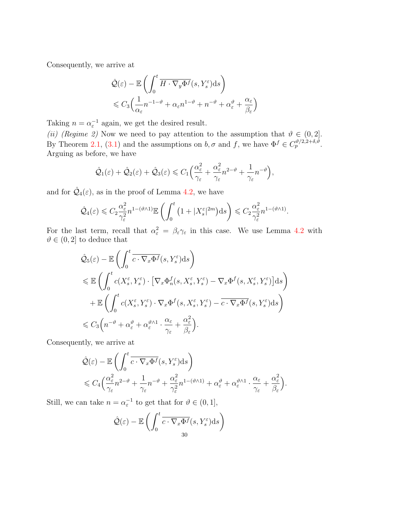Consequently, we arrive at

$$
\hat{\mathcal{Q}}(\varepsilon) - \mathbb{E}\left(\int_0^t \overline{H \cdot \nabla_y \Phi^f}(s, Y_s^{\varepsilon}) ds\right) \leq C_3 \left(\frac{1}{\alpha_{\varepsilon}} n^{-1-\vartheta} + \alpha_{\varepsilon} n^{1-\vartheta} + n^{-\vartheta} + \alpha_{\varepsilon}^{\vartheta} + \frac{\alpha_{\varepsilon}}{\beta_{\varepsilon}}\right)
$$

Taking  $n = \alpha_{\varepsilon}^{-1}$  again, we get the desired result.

(ii) (Regime 2) Now we need to pay attention to the assumption that  $\vartheta \in (0,2]$ . By Theorem [2.1,](#page-6-0) [\(3.1\)](#page-10-1) and the assumptions on  $b, \sigma$  and f, we have  $\Phi^f \in C_p^{\vartheta/2, 2+\delta, \vartheta}$ . Arguing as before, we have

$$
\hat{\mathcal{Q}}_1(\varepsilon) + \hat{\mathcal{Q}}_2(\varepsilon) + \hat{\mathcal{Q}}_3(\varepsilon) \leq C_1 \Big( \frac{\alpha_{\varepsilon}^2}{\gamma_{\varepsilon}} + \frac{\alpha_{\varepsilon}^2}{\gamma_{\varepsilon}} n^{2-\vartheta} + \frac{1}{\gamma_{\varepsilon}} n^{-\vartheta} \Big),
$$

and for  $\hat{Q}_4(\varepsilon)$ , as in the proof of Lemma [4.2,](#page-23-0) we have

$$
\hat{\mathcal{Q}}_4(\varepsilon) \leqslant C_2 \frac{\alpha_{\varepsilon}^2}{\gamma_{\varepsilon}^2} n^{1-(\vartheta \wedge 1)} \mathbb{E} \left( \int_0^t \left( 1 + |X_s^{\varepsilon}|^{2m} \right) ds \right) \leqslant C_2 \frac{\alpha_{\varepsilon}^2}{\gamma_{\varepsilon}^2} n^{1-(\vartheta \wedge 1)}.
$$

For the last term, recall that  $\alpha_{\varepsilon}^2 = \beta_{\varepsilon} \gamma_{\varepsilon}$  in this case. We use Lemma [4.2](#page-23-0) with  $\vartheta \in (0, 2]$  to deduce that

$$
\hat{\mathcal{Q}}_5(\varepsilon) - \mathbb{E}\left(\int_0^t \overline{c \cdot \nabla_x \Phi^f}(s, Y_s^{\varepsilon}) ds\right)
$$
\n
$$
\leq \mathbb{E}\left(\int_0^t c(X_s^{\varepsilon}, Y_s^{\varepsilon}) \cdot \left[\nabla_x \Phi_n^f(s, X_s^{\varepsilon}, Y_s^{\varepsilon}) - \nabla_x \Phi^f(s, X_s^{\varepsilon}, Y_s^{\varepsilon})\right] ds\right)
$$
\n
$$
+ \mathbb{E}\left(\int_0^t c(X_s^{\varepsilon}, Y_s^{\varepsilon}) \cdot \nabla_x \Phi^f(s, X_s^{\varepsilon}, Y_s^{\varepsilon}) - \overline{c \cdot \nabla_x \Phi^f}(s, Y_s^{\varepsilon}) ds\right)
$$
\n
$$
\leq C_3 \Big(n^{-\vartheta} + \alpha_{\varepsilon}^{\vartheta} + \alpha_{\varepsilon}^{\vartheta \wedge 1} \cdot \frac{\alpha_{\varepsilon}}{\gamma_{\varepsilon}} + \frac{\alpha_{\varepsilon}^2}{\beta_{\varepsilon}}\Big).
$$

Consequently, we arrive at

$$
\hat{\mathcal{Q}}(\varepsilon) - \mathbb{E}\left(\int_0^t \overline{c \cdot \nabla_x \Phi^f}(s, Y_s^{\varepsilon}) ds\right) \n\leq C_4 \Big(\frac{\alpha_{\varepsilon}^2}{\gamma_{\varepsilon}} n^{2-\vartheta} + \frac{1}{\gamma_{\varepsilon}} n^{-\vartheta} + \frac{\alpha_{\varepsilon}^2}{\gamma_{\varepsilon}^2} n^{1-(\vartheta \wedge 1)} + \alpha_{\varepsilon}^{\vartheta} + \alpha_{\varepsilon}^{\vartheta \wedge 1} \cdot \frac{\alpha_{\varepsilon}}{\gamma_{\varepsilon}} + \frac{\alpha_{\varepsilon}^2}{\beta_{\varepsilon}}\Big).
$$

Still, we can take  $n = \alpha_{\varepsilon}^{-1}$  to get that for  $\vartheta \in (0, 1]$ ,

$$
\hat{\mathcal{Q}}(\varepsilon) - \mathbb{E}\left(\int_0^t \overline{c \cdot \nabla_x \Phi^f}(s, Y_s^{\varepsilon}) ds\right)
$$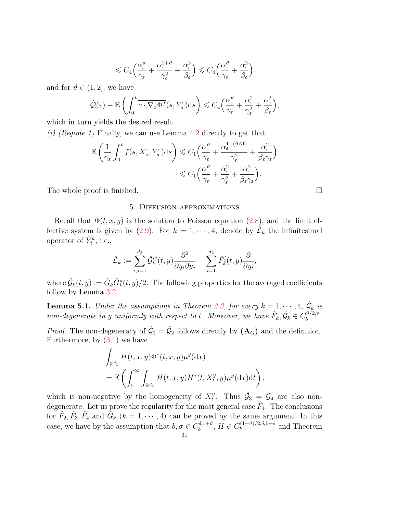$$
\leqslant C_4 \Big( \frac{\alpha_{\varepsilon}^{\vartheta}}{\gamma_{\varepsilon}} + \frac{\alpha_{\varepsilon}^{1+\vartheta}}{\gamma_{\varepsilon}^2} + \frac{\alpha_{\varepsilon}^2}{\beta_{\varepsilon}} \Big) \leqslant C_4 \Big( \frac{\alpha_{\varepsilon}^{\vartheta}}{\gamma_{\varepsilon}} + \frac{\alpha_{\varepsilon}^2}{\beta_{\varepsilon}} \Big).
$$

and for  $\vartheta \in (1, 2]$ , we have

$$
\hat{\mathcal{Q}}(\varepsilon) - \mathbb{E}\left(\int_0^t \overline{c \cdot \nabla_x \Phi^f}(s, Y_s^{\varepsilon}) ds\right) \leq C_4 \Big(\frac{\alpha_{\varepsilon}^{\vartheta}}{\gamma_{\varepsilon}} + \frac{\alpha_{\varepsilon}^2}{\gamma_{\varepsilon}^2} + \frac{\alpha_{\varepsilon}^2}{\beta_{\varepsilon}}\Big),
$$

which in turn yields the desired result.

(i) (Regime 1) Finally, we can use Lemma [4.2](#page-23-0) directly to get that

$$
\mathbb{E}\left(\frac{1}{\gamma_{\varepsilon}}\int_{0}^{t}f(s,X_{s}^{\varepsilon},Y_{s}^{\varepsilon})\mathrm{d}s\right) \leq C_{1}\left(\frac{\alpha_{\varepsilon}^{\vartheta}}{\gamma_{\varepsilon}} + \frac{\alpha_{\varepsilon}^{1+(\vartheta\wedge 1)}}{\gamma_{\varepsilon}^{2}} + \frac{\alpha_{\varepsilon}^{2}}{\beta_{\varepsilon}\gamma_{\varepsilon}}\right) \leq C_{1}\left(\frac{\alpha_{\varepsilon}^{\vartheta}}{\gamma_{\varepsilon}} + \frac{\alpha_{\varepsilon}^{2}}{\gamma_{\varepsilon}^{2}} + \frac{\alpha_{\varepsilon}^{2}}{\beta_{\varepsilon}\gamma_{\varepsilon}}\right).
$$

The whole proof is finished.

### 5. Diffusion approximations

Recall that  $\Phi(t, x, y)$  is the solution to Poisson equation [\(2.8\)](#page-8-2), and the limit ef-fective system is given by [\(2.9\)](#page-9-2). For  $k = 1, \dots, 4$ , denote by  $\mathcal{L}_k$  the infinitesimal operator of  $\hat{Y}_t^k$ , i.e.,

$$
\hat{\mathcal{L}}_k := \sum_{i,j=1}^{d_2} \hat{\mathcal{G}}_k^{ij}(t,y) \frac{\partial^2}{\partial y_i \partial y_j} + \sum_{i=1}^{d_2} \hat{F}_k^i(t,y) \frac{\partial}{\partial y_i},
$$

where  $\hat{\mathcal{G}}_k(t,y):=\hat{G}_k\hat{G}^*_k(t,y)/2.$  The following properties for the averaged coefficients follow by Lemma [3.2.](#page-12-0)

<span id="page-30-0"></span>**Lemma 5.1.** Under the assumptions in Theorem [2.3,](#page-9-0) for every  $k = 1, \dots, 4$ ,  $\hat{G}_k$  is non-degenerate in y uniformly with respect to t. Moreover, we have  $\hat{F}_k, \hat{G}_k \in C_b^{\vartheta/2, \vartheta}$  $b^{U/2, U}.$ 

*Proof.* The non-degeneracy of  $\hat{G}_1 = \hat{G}_2$  follows directly by  $(\mathbf{A}_G)$  and the definition. Furthermore, by  $(3.1)$  we have

$$
\int_{\mathbb{R}^{d_1}} H(t, x, y) \Phi^*(t, x, y) \mu^y(\mathrm{d}x)
$$
\n
$$
= \mathbb{E} \left( \int_0^\infty \int_{\mathbb{R}^{d_1}} H(t, x, y) H^*(t, X_t^y, y) \mu^y(\mathrm{d}x) \mathrm{d}t \right),
$$

which is non-negative by the homogeneity of  $X_t^y$  $\hat{\mathcal{G}}_3 = \hat{\mathcal{G}}_4$  are also nondegenerate. Let us prove the regularity for the most general case  $\hat{F}_4$ . The conclusions for  $\hat{F}_2, \hat{F}_3, \hat{F}_4$  and  $\hat{G}_k$   $(k = 1, \dots, 4)$  can be proved by the same argument. In this case, we have by the assumption that  $b, \sigma \in C_b^{\delta, 1+\vartheta}$  $b_b^{\delta,1+\vartheta}, H \in C_p^{(1+\vartheta)/2,\delta,1+\vartheta}$  and Theorem 31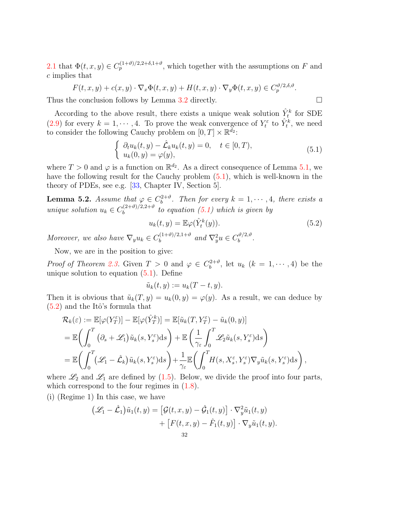[2.1](#page-6-0) that  $\Phi(t, x, y) \in C_p^{(1+\vartheta)/2, 2+\delta, 1+\vartheta}$ , which together with the assumptions on F and c implies that

$$
F(t, x, y) + c(x, y) \cdot \nabla_x \Phi(t, x, y) + H(t, x, y) \cdot \nabla_y \Phi(t, x, y) \in C_p^{\vartheta/2, \delta, \vartheta}.
$$

Thus the conclusion follows by Lemma [3.2](#page-12-0) directly.

According to the above result, there exists a unique weak solution  $\hat{Y}^k_t$  for SDE [\(2.9\)](#page-9-2) for every  $k = 1, \dots, 4$ . To prove the weak convergence of  $Y_t^{\varepsilon}$  to  $\hat{Y}_t^k$ , we need to consider the following Cauchy problem on  $[0, T] \times \mathbb{R}^{\bar{d}_2}$ :

<span id="page-31-0"></span>
$$
\begin{cases}\n\partial_t u_k(t, y) - \hat{\mathcal{L}}_k u_k(t, y) = 0, & t \in [0, T), \\
u_k(0, y) = \varphi(y),\n\end{cases}
$$
\n(5.1)

where  $T > 0$  and  $\varphi$  is a function on  $\mathbb{R}^{d_2}$ . As a direct consequence of Lemma [5.1,](#page-30-0) we have the following result for the Cauchy problem [\(5.1\)](#page-31-0), which is well-known in the theory of PDEs, see e.g. [\[33,](#page-36-21) Chapter IV, Section 5].

<span id="page-31-2"></span>**Lemma 5.2.** Assume that  $\varphi \in C_b^{2+\vartheta}$  $b^{2+\vartheta}$ . Then for every  $k = 1, \cdots, 4$ , there exists a unique solution  $u_k \in C_b^{(2+\vartheta)/2,2+\vartheta}$  $b_b^{(2+v)/2,2+v}$  to equation [\(5.1\)](#page-31-0) which is given by

$$
u_k(t, y) = \mathbb{E}\varphi(\hat{Y}_t^k(y)).\tag{5.2}
$$

Moreover, we also have  $\nabla_y u_k \in C_b^{(1+\vartheta)/2,1+\vartheta}$  $\int_b^{(1+\vartheta)/2,1+\vartheta}$  and  $\nabla^2_y u \in C_b^{\vartheta/2,\vartheta}$  $\frac{v}{b}$ .

Now, we are in the position to give:

*Proof of Theorem [2.3.](#page-9-0)* Given  $T > 0$  and  $\varphi \in C_b^{2+\vartheta}$  $b^{2+\vartheta}$ , let  $u_k$   $(k = 1, \cdots, 4)$  be the unique solution to equation [\(5.1\)](#page-31-0). Define

$$
\tilde{u}_k(t,y) := u_k(T-t,y).
$$

Then it is obvious that  $\tilde{u}_k(T, y) = u_k(0, y) = \varphi(y)$ . As a result, we can deduce by  $(5.2)$  and the Itô's formula that

$$
\mathcal{R}_{k}(\varepsilon) := \mathbb{E}[\varphi(Y_{T}^{\varepsilon})] - \mathbb{E}[\varphi(\hat{Y}_{T}^{k})] = \mathbb{E}[\tilde{u}_{k}(T, Y_{T}^{\varepsilon}) - \tilde{u}_{k}(0, y)]
$$
  
\n
$$
= \mathbb{E}\bigg(\int_{0}^{T} (\partial_{s} + \mathscr{L}_{1}) \tilde{u}_{k}(s, Y_{s}^{\varepsilon}) ds\bigg) + \mathbb{E}\bigg(\frac{1}{\gamma_{\varepsilon}} \int_{0}^{T} \mathscr{L}_{2} \tilde{u}_{k}(s, Y_{s}^{\varepsilon}) ds\bigg)
$$
  
\n
$$
= \mathbb{E}\bigg(\int_{0}^{T} (\mathscr{L}_{1} - \hat{\mathcal{L}}_{k}) \tilde{u}_{k}(s, Y_{s}^{\varepsilon}) ds\bigg) + \frac{1}{\gamma_{\varepsilon}} \mathbb{E}\bigg(\int_{0}^{T} H(s, X_{s}^{\varepsilon}, Y_{s}^{\varepsilon}) \nabla_{y} \tilde{u}_{k}(s, Y_{s}^{\varepsilon}) ds\bigg),
$$

where  $\mathscr{L}_2$  and  $\mathscr{L}_1$  are defined by [\(1.5\)](#page-3-2). Below, we divide the proof into four parts, which correspond to the four regimes in  $(1.8)$ .

(i) (Regime 1) In this case, we have

$$
\begin{aligned} \left(\mathcal{L}_1 - \hat{\mathcal{L}}_1\right)\tilde{u}_1(t,y) &= \left[\mathcal{G}(t,x,y) - \hat{\mathcal{G}}_1(t,y)\right] \cdot \nabla_y^2 \tilde{u}_1(t,y) \\ &+ \left[F(t,x,y) - \hat{F}_1(t,y)\right] \cdot \nabla_y \tilde{u}_1(t,y). \end{aligned}
$$

<span id="page-31-1"></span>
$$
\qquad \qquad \Box
$$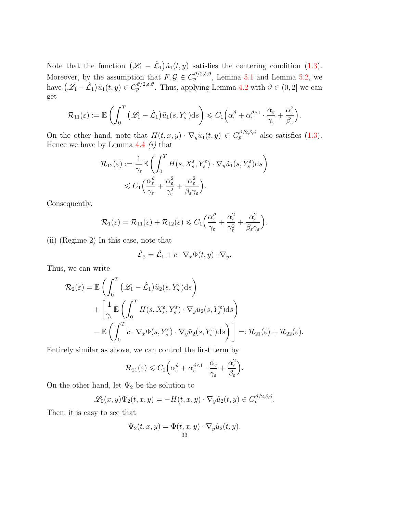Note that the function  $(\mathcal{L}_1 - \hat{\mathcal{L}}_1)\tilde{u}_1(t, y)$  satisfies the centering condition [\(1.3\)](#page-1-0). Moreover, by the assumption that  $F, \mathcal{G} \in C_p^{\vartheta/2, \delta, \vartheta}$ , Lemma [5.1](#page-30-0) and Lemma [5.2,](#page-31-2) we have  $(\mathscr{L}_1 - \hat{\mathcal{L}}_1)\tilde{u}_1(t, y) \in C_p^{\vartheta/2, \delta, \vartheta}$ . Thus, applying Lemma [4.2](#page-23-0) with  $\vartheta \in (0, 2]$  we can get

$$
\mathcal{R}_{11}(\varepsilon) := \mathbb{E}\left(\int_0^T \left(\mathscr{L}_1 - \hat{\mathcal{L}}_1\right) \tilde{u}_1(s,Y_s^{\varepsilon}) \mathrm{d} s\right) \leqslant C_1\left(\alpha_\varepsilon^{\vartheta} + \alpha_\varepsilon^{\vartheta \wedge 1} \cdot \frac{\alpha_\varepsilon}{\gamma_\varepsilon} + \frac{\alpha_\varepsilon^2}{\beta_\varepsilon}\right).
$$

On the other hand, note that  $H(t, x, y) \cdot \nabla_y \tilde{u}_1(t, y) \in C_p^{\vartheta/2, \delta, \vartheta}$  also satisfies [\(1.3\)](#page-1-0). Hence we have by Lemma  $4.4$  (i) that

$$
\mathcal{R}_{12}(\varepsilon) := \frac{1}{\gamma_{\varepsilon}} \mathbb{E} \left( \int_0^T H(s, X_s^{\varepsilon}, Y_s^{\varepsilon}) \cdot \nabla_y \tilde{u}_1(s, Y_s^{\varepsilon}) ds \right) \n\leq C_1 \left( \frac{\alpha_{\varepsilon}^{\vartheta}}{\gamma_{\varepsilon}} + \frac{\alpha_{\varepsilon}^2}{\gamma_{\varepsilon}^2} + \frac{\alpha_{\varepsilon}^2}{\beta_{\varepsilon} \gamma_{\varepsilon}} \right).
$$

Consequently,

$$
\mathcal{R}_1(\varepsilon)=\mathcal{R}_{11}(\varepsilon)+\mathcal{R}_{12}(\varepsilon)\leqslant C_1\Big(\frac{\alpha_\varepsilon^{\vartheta}}{\gamma_\varepsilon}+\frac{\alpha_\varepsilon^2}{\gamma_\varepsilon^2}+\frac{\alpha_\varepsilon^2}{\beta_\varepsilon\gamma_\varepsilon}\Big).
$$

(ii) (Regime 2) In this case, note that

$$
\hat{\mathcal{L}}_2 = \hat{\mathcal{L}}_1 + \overline{c \cdot \nabla_x \Phi}(t, y) \cdot \nabla_y.
$$

Thus, we can write

$$
\mathcal{R}_2(\varepsilon) = \mathbb{E}\left(\int_0^T \left(\mathcal{L}_1 - \hat{\mathcal{L}}_1\right) \tilde{u}_2(s, Y_s^{\varepsilon}) ds\right) \n+ \left[\frac{1}{\gamma_{\varepsilon}} \mathbb{E}\left(\int_0^T H(s, X_s^{\varepsilon}, Y_s^{\varepsilon}) \cdot \nabla_y \tilde{u}_2(s, Y_s^{\varepsilon}) ds\right) \n- \mathbb{E}\left(\int_0^T \overline{c \cdot \nabla_x \Phi}(s, Y_s^{\varepsilon}) \cdot \nabla_y \tilde{u}_2(s, Y_s^{\varepsilon}) ds\right)\right] =: \mathcal{R}_{21}(\varepsilon) + \mathcal{R}_{22}(\varepsilon).
$$

Entirely similar as above, we can control the first term by

$$
\mathcal{R}_{21}(\varepsilon) \leqslant C_2 \Big( \alpha_\varepsilon^{\vartheta} + \alpha_\varepsilon^{\vartheta \wedge 1} \cdot \frac{\alpha_\varepsilon}{\gamma_\varepsilon} + \frac{\alpha_\varepsilon^2}{\beta_\varepsilon} \Big).
$$

On the other hand, let  $\Psi_2$  be the solution to

$$
\mathscr{L}_0(x,y)\Psi_2(t,x,y) = -H(t,x,y)\cdot\nabla_y\tilde{u}_2(t,y) \in C_p^{\vartheta/2,\delta,\vartheta}.
$$

Then, it is easy to see that

$$
\Psi_2(t, x, y) = \Phi(t, x, y) \cdot \nabla_y \tilde{u}_2(t, y),
$$
  
33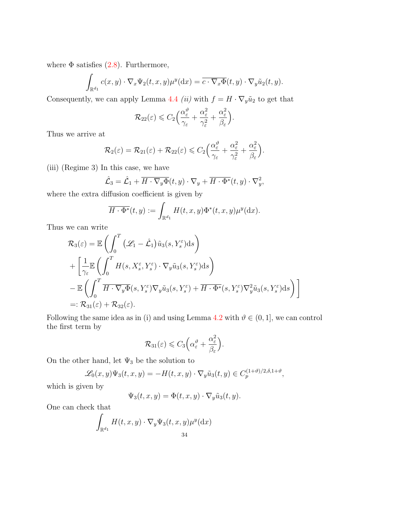where  $\Phi$  satisfies [\(2.8\)](#page-8-2). Furthermore,

$$
\int_{\mathbb{R}^{d_1}} c(x, y) \cdot \nabla_x \Psi_2(t, x, y) \mu^y(\mathrm{d}x) = \overline{c \cdot \nabla_x \Phi}(t, y) \cdot \nabla_y \tilde{u}_2(t, y).
$$

Consequently, we can apply Lemma [4.4](#page-26-0) (ii) with  $f = H \cdot \nabla_y \tilde{u}_2$  to get that

$$
\mathcal{R}_{22}(\varepsilon) \leqslant C_2 \Big( \frac{\alpha_{\varepsilon}^{\vartheta}}{\gamma_{\varepsilon}} + \frac{\alpha_{\varepsilon}^2}{\gamma_{\varepsilon}^2} + \frac{\alpha_{\varepsilon}^2}{\beta_{\varepsilon}} \Big).
$$

Thus we arrive at

$$
\mathcal{R}_2(\varepsilon)=\mathcal{R}_{21}(\varepsilon)+\mathcal{R}_{22}(\varepsilon)\leqslant C_2\Big(\frac{\alpha_\varepsilon^{\vartheta}}{\gamma_\varepsilon}+\frac{\alpha_\varepsilon^2}{\gamma_\varepsilon^2}+\frac{\alpha_\varepsilon^2}{\beta_\varepsilon}\Big).
$$

(iii) (Regime 3) In this case, we have

$$
\hat{\mathcal{L}}_3 = \hat{\mathcal{L}}_1 + \overline{H \cdot \nabla_y \Phi}(t, y) \cdot \nabla_y + \overline{H \cdot \Phi^*}(t, y) \cdot \nabla_y^2,
$$

where the extra diffusion coefficient is given by

$$
\overline{H\cdot \Phi^*}(t,y) := \int_{\mathbb{R}^{d_1}} H(t,x,y) \Phi^*(t,x,y) \mu^y(\mathrm{d}x).
$$

Thus we can write

$$
\mathcal{R}_{3}(\varepsilon) = \mathbb{E}\left(\int_{0}^{T} \left(\mathcal{L}_{1} - \hat{\mathcal{L}}_{1}\right) \tilde{u}_{3}(s, Y_{s}^{\varepsilon}) ds\right) \n+ \left[\frac{1}{\gamma_{\varepsilon}} \mathbb{E}\left(\int_{0}^{T} H(s, X_{s}^{\varepsilon}, Y_{s}^{\varepsilon}) \cdot \nabla_{y} \tilde{u}_{3}(s, Y_{s}^{\varepsilon}) ds\right) \n- \mathbb{E}\left(\int_{0}^{T} \overline{H \cdot \nabla_{y} \Phi}(s, Y_{s}^{\varepsilon}) \nabla_{y} \tilde{u}_{3}(s, Y_{s}^{\varepsilon}) + \overline{H \cdot \Phi^{*}}(s, Y_{s}^{\varepsilon}) \nabla_{y}^{2} \tilde{u}_{3}(s, Y_{s}^{\varepsilon}) ds\right)\right] \n=:\mathcal{R}_{31}(\varepsilon) + \mathcal{R}_{32}(\varepsilon).
$$

Following the same idea as in (i) and using Lemma [4.2](#page-23-0) with  $\vartheta \in (0, 1]$ , we can control the first term by

$$
\mathcal{R}_{31}(\varepsilon) \leqslant C_3 \Big( \alpha_{\varepsilon}^{\vartheta} + \frac{\alpha_{\varepsilon}^2}{\beta_{\varepsilon}} \Big).
$$

On the other hand, let  $\Psi_3$  be the solution to

$$
\mathscr{L}_0(x,y)\Psi_3(t,x,y) = -H(t,x,y)\cdot\nabla_y\tilde{u}_3(t,y) \in C_p^{(1+\vartheta)/2,\delta,1+\vartheta},
$$

which is given by

$$
\Psi_3(t, x, y) = \Phi(t, x, y) \cdot \nabla_y \tilde{u}_3(t, y).
$$

One can check that

$$
\int_{\mathbb{R}^{d_1}} H(t, x, y) \cdot \nabla_y \Psi_3(t, x, y) \mu^y(\mathrm{d}x)
$$
  
34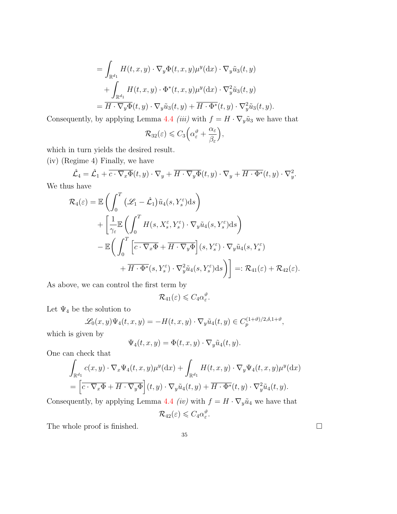$$
= \int_{\mathbb{R}^{d_1}} H(t, x, y) \cdot \nabla_y \Phi(t, x, y) \mu^y(\mathrm{d}x) \cdot \nabla_y \tilde{u}_3(t, y)
$$

$$
+ \int_{\mathbb{R}^{d_1}} H(t, x, y) \cdot \Phi^*(t, x, y) \mu^y(\mathrm{d}x) \cdot \nabla_y^2 \tilde{u}_3(t, y)
$$

$$
= \overline{H \cdot \nabla_y \Phi}(t, y) \cdot \nabla_y \tilde{u}_3(t, y) + \overline{H \cdot \Phi^*}(t, y) \cdot \nabla_y^2 \tilde{u}_3(t, y).
$$

Consequently, by applying Lemma [4.4](#page-26-0) *(iii)* with  $f = H \cdot \nabla_y \tilde{u}_3$  we have that

$$
\mathcal{R}_{32}(\varepsilon) \leqslant C_3 \Big( \alpha_{\varepsilon}^{\vartheta} + \frac{\alpha_{\varepsilon}}{\beta_{\varepsilon}} \Big),
$$

which in turn yields the desired result.

(iv) (Regime 4) Finally, we have

$$
\hat{\mathcal{L}}_4 = \hat{\mathcal{L}}_1 + \overline{c \cdot \nabla_x \Phi}(t, y) \cdot \nabla_y + \overline{H \cdot \nabla_y \Phi}(t, y) \cdot \nabla_y + \overline{H \cdot \Phi^*}(t, y) \cdot \nabla_y^2.
$$

We thus have

$$
\mathcal{R}_4(\varepsilon) = \mathbb{E}\left(\int_0^T \left(\mathcal{L}_1 - \hat{\mathcal{L}}_1\right) \tilde{u}_4(s, Y_s^{\varepsilon}) ds\right) \n+ \left[\frac{1}{\gamma_{\varepsilon}} \mathbb{E}\left(\int_0^T H(s, X_s^{\varepsilon}, Y_s^{\varepsilon}) \cdot \nabla_y \tilde{u}_4(s, Y_s^{\varepsilon}) ds\right) \n- \mathbb{E}\left(\int_0^T \left[\overline{c \cdot \nabla_x \Phi} + \overline{H \cdot \nabla_y \Phi}\right](s, Y_s^{\varepsilon}) \cdot \nabla_y \tilde{u}_4(s, Y_s^{\varepsilon}) \n+ \overline{H \cdot \Phi^*}(s, Y_s^{\varepsilon}) \cdot \nabla_y^2 \tilde{u}_4(s, Y_s^{\varepsilon}) ds\right)\right] =: \mathcal{R}_{41}(\varepsilon) + \mathcal{R}_{42}(\varepsilon).
$$

As above, we can control the first term by

$$
\mathcal{R}_{41}(\varepsilon) \leqslant C_4 \alpha_{\varepsilon}^{\vartheta}.
$$

Let  $\Psi_4$  be the solution to

$$
\mathscr{L}_0(x,y)\Psi_4(t,x,y) = -H(t,x,y)\cdot \nabla_y \tilde{u}_4(t,y) \in C_p^{(1+\vartheta)/2,\delta,1+\vartheta},
$$

which is given by

$$
\Psi_4(t, x, y) = \Phi(t, x, y) \cdot \nabla_y \tilde{u}_4(t, y).
$$

One can check that

$$
\int_{\mathbb{R}^{d_1}} c(x, y) \cdot \nabla_x \Psi_4(t, x, y) \mu^y(\mathrm{d}x) + \int_{\mathbb{R}^{d_1}} H(t, x, y) \cdot \nabla_y \Psi_4(t, x, y) \mu^y(\mathrm{d}x)
$$
\n
$$
= \left[ \overline{c \cdot \nabla_x \Phi} + \overline{H \cdot \nabla_y \Phi} \right](t, y) \cdot \nabla_y \tilde{u}_4(t, y) + \overline{H \cdot \Phi^*}(t, y) \cdot \nabla_y^2 \tilde{u}_4(t, y).
$$

Consequently, by applying Lemma [4.4](#page-26-0) *(iv)* with  $f = H \cdot \nabla_y \tilde{u}_4$  we have that

$$
\mathcal{R}_{42}(\varepsilon) \leqslant C_4 \alpha_{\varepsilon}^{\vartheta}.
$$

35

The whole proof is finished.  $\hfill \square$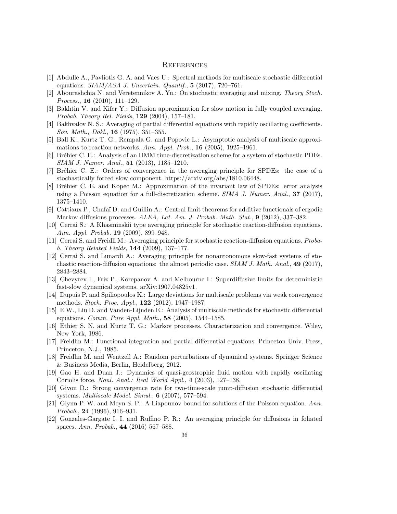#### **REFERENCES**

- <span id="page-35-5"></span>[1] Abdulle A., Pavliotis G. A. and Vaes U.: Spectral methods for multiscale stochastic differential equations.  $SIAM/ASA$  J. Uncertain. Quantif.,  $5$  (2017), 720–761.
- <span id="page-35-11"></span>[2] Abourashchia N. and Veretennikov A. Yu.: On stochastic averaging and mixing. Theory Stoch. Process., **16** (2010), 111–129.
- <span id="page-35-12"></span>[3] Bakhtin V. and Kifer Y.: Diffusion approximation for slow motion in fully coupled averaging. Probab. Theory Rel. Fields, 129 (2004), 157–181.
- <span id="page-35-18"></span>[4] Bakhvalov N. S.: Averaging of partial differential equations with rapidly oscillating coefficients. Sov. Math., Dokl., 16 (1975), 351–355.
- <span id="page-35-9"></span>[5] Ball K., Kurtz T. G., Rempala G. and Popovic L.: Asymptotic analysis of multiscale approximations to reaction networks. Ann. Appl. Prob.,  $16$  (2005), 1925–1961.
- <span id="page-35-19"></span>[6] Bréhier C. E.: Analysis of an HMM time-discretization scheme for a system of stochastic PDEs. SIAM J. Numer. Anal., 51 (2013), 1185–1210.
- <span id="page-35-6"></span>[7] Br´ehier C. E.: Orders of convergence in the averaging principle for SPDEs: the case of a stochastically forced slow component. https://arxiv.org/abs/1810.06448.
- <span id="page-35-7"></span>[8] Bréhier C. E. and Kopec M.: Approximation of the invariant law of SPDEs: error analysis using a Poisson equation for a full-discretization scheme. SIMA J. Numer. Anal., 37 (2017), 1375–1410.
- <span id="page-35-3"></span>[9] Cattiaux P., Chafa¨ı D. and Guillin A.: Central limit theorems for additive functionals of ergodic Markov diffusions processes. ALEA, Lat. Am. J. Probab. Math. Stat., 9 (2012), 337–382.
- <span id="page-35-15"></span>[10] Cerrai S.: A Khasminskii type averaging principle for stochastic reaction-diffusion equations. Ann. Appl. Probab. 19 (2009), 899–948.
- <span id="page-35-16"></span>[11] Cerrai S. and Freidli M.: Averaging principle for stochastic reaction-diffusion equations. Probab. Theory Related Fields, 144 (2009), 137–177.
- <span id="page-35-17"></span>[12] Cerrai S. and Lunardi A.: Averaging principle for nonautonomous slow-fast systems of stochastic reaction-diffusion equations: the almost periodic case.  $SIAM J. Math. Anal., 49 (2017),$ 2843–2884.
- <span id="page-35-13"></span>[13] Chevyrev I., Friz P., Korepanov A. and Melbourne I.: Superdiffusive limits for deterministic fast-slow dynamical systems. arXiv:1907.04825v1.
- <span id="page-35-4"></span>[14] Dupuis P. and Spiliopoulos K.: Large deviations for multiscale problems via weak convergence methods. Stoch. Proc. Appl., 122 (2012), 1947–1987.
- <span id="page-35-20"></span>[15] E W., Liu D. and Vanden-Eijnden E.: Analysis of multiscale methods for stochastic differential equations. *Comm. Pure Appl. Math.*, **58** (2005), 1544–1585.
- <span id="page-35-1"></span>[16] Ethier S. N. and Kurtz T. G.: Markov processes. Characterization and convergence. Wiley, New York, 1986.
- <span id="page-35-10"></span>[17] Freidlin M.: Functional integration and partial differential equations. Princeton Univ. Press, Princeton, N.J., 1985.
- <span id="page-35-2"></span>[18] Freidlin M. and Wentzell A.: Random perturbations of dynamical systems. Springer Science & Business Media, Berlin, Heidelberg, 2012.
- <span id="page-35-8"></span>[19] Gao H. and Duan J.: Dynamics of quasi-geostrophic fluid motion with rapidly oscillating Coriolis force. Nonl. Anal.: Real World Appl., 4 (2003), 127–138.
- <span id="page-35-21"></span>[20] Givon D.: Strong convergence rate for two-time-scale jump-diffusion stochastic differential systems. Multiscale Model. Simul., 6 (2007), 577–594.
- <span id="page-35-0"></span>[21] Glynn P. W. and Meyn S. P.: A Liapounov bound for solutions of the Poisson equation. Ann. Probab., 24 (1996), 916–931.
- <span id="page-35-14"></span>[22] Gonzales-Gargate I. I. and Ruffino P. R.: An averaging principle for diffusions in foliated spaces. Ann. Probab., 44 (2016) 567–588.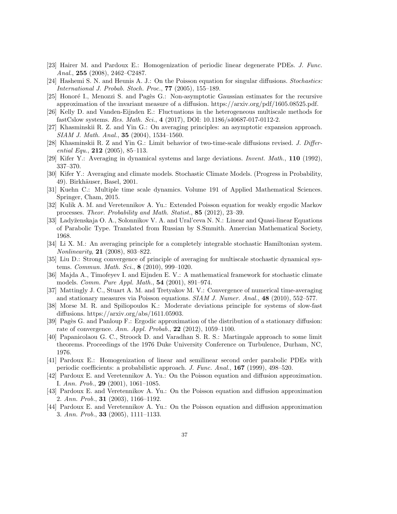- <span id="page-36-0"></span>[23] Hairer M. and Pardoux E.: Homogenization of periodic linear degenerate PDEs. J. Func. Anal., 255 (2008), 2462–C2487.
- <span id="page-36-6"></span>[24] Hashemi S. N. and Heunis A. J.: On the Poisson equation for singular diffusions. Stochastics: International J. Probab. Stoch. Proc., 77 (2005), 155–189.
- <span id="page-36-7"></span>[25] Honoré I., Menozzi S. and Pagès G.: Non-asymptotic Gaussian estimates for the recursive approximation of the invariant measure of a diffusion. https://arxiv.org/pdf/1605.08525.pdf.
- <span id="page-36-19"></span>[26] Kelly D. and Vanden-Eijnden E.: Fluctuations in the heterogeneous multiscale methods for fastCslow systems. Res. Math. Sci., 4 (2017), DOI: 10.1186/s40687-017-0112-2.
- <span id="page-36-12"></span>[27] Khasminskii R. Z. and Yin G.: On averaging principles: an asymptotic expansion approach. SIAM J. Math. Anal., 35 (2004), 1534–1560.
- <span id="page-36-13"></span>[28] Khasminskii R. Z and Yin G.: Limit behavior of two-time-scale diffusions revised. J. Differential Equ.,  $212$  (2005), 85-113.
- <span id="page-36-17"></span>[29] Kifer Y.: Averaging in dynamical systems and large deviations. Invent. Math., 110 (1992), 337–370.
- <span id="page-36-14"></span>[30] Kifer Y.: Averaging and climate models. Stochastic Climate Models. (Progress in Probability, 49). Birkhäuser, Basel, 2001.
- <span id="page-36-16"></span>[31] Kuehn C.: Multiple time scale dynamics. Volume 191 of Applied Mathematical Sciences. Springer, Cham, 2015.
- <span id="page-36-8"></span>[32] Kulik A. M. and Veretennikov A. Yu.: Extended Poisson equation for weakly ergodic Markov processes. Theor. Probability and Math. Statist., 85 (2012), 23-39.
- <span id="page-36-21"></span>[33] Lady˘zenskaja O. A., Solonnikov V. A. and Ural'ceva N. N.: Linear and Quasi-linear Equations of Parabolic Type. Translated from Russian by S.Smmith. Amercian Mathematical Society, 1968.
- <span id="page-36-18"></span>[34] Li X. M.: An averaging principle for a completely integrable stochastic Hamiltonian system. Nonlinearity, 21 (2008), 803–822.
- <span id="page-36-20"></span>[35] Liu D.: Strong convergence of principle of averaging for multiscale stochastic dynamical systems. *Commun. Math. Sci.*, **8** (2010), 999-1020.
- <span id="page-36-15"></span>[36] Majda A., Timofeyev I. and Eijnden E. V.: A mathematical framework for stochastic climate models. Comm. Pure Appl. Math., 54 (2001), 891–974.
- <span id="page-36-10"></span>[37] Mattingly J. C., Stuart A. M. and Tretyakov M. V.: Convergence of numerical time-averaging and stationary measures via Poisson equations.  $SIAM J. Numer. Anal., 48 (2010), 552-577.$
- <span id="page-36-9"></span>[38] Morse M. R. and Spiliopoulos K.: Moderate deviations principle for systems of slow-fast diffusions. https://arxiv.org/abs/1611.05903.
- <span id="page-36-11"></span>[39] Pagès G. and Panloup F.: Ergodic approximation of the distribution of a stationary diffusion: rate of convergence. Ann. Appl. Probab.,  $22$  (2012), 1059-1100.
- <span id="page-36-1"></span>[40] Papanicolaou G. C., Stroock D. and Varadhan S. R. S.: Martingale approach to some limit theorems. Proceedings of the 1976 Duke University Conference on Turbulence, Durham, NC, 1976.
- <span id="page-36-2"></span>[41] Pardoux E.: Homogenization of linear and semilinear second order parabolic PDEs with periodic coefficients: a probabilistic approach. J. Func. Anal., 167 (1999), 498–520.
- <span id="page-36-3"></span>[42] Pardoux E. and Veretennikov A. Yu.: On the Poisson equation and diffusion approximation. I. Ann. Prob., 29  $(2001)$ , 1061–1085.
- <span id="page-36-4"></span>[43] Pardoux E. and Veretennikov A. Yu.: On the Poisson equation and diffusion approximation 2. Ann. Prob., 31 (2003), 1166–1192.
- <span id="page-36-5"></span>[44] Pardoux E. and Veretennikov A. Yu.: On the Poisson equation and diffusion approximation 3. Ann. Prob., 33 (2005), 1111–1133.